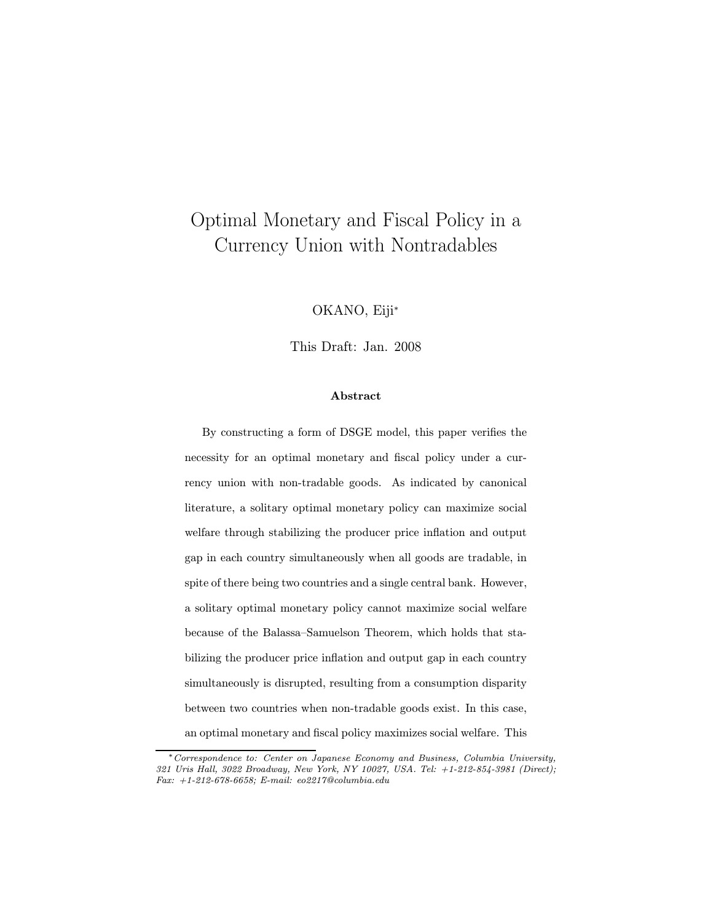# Optimal Monetary and Fiscal Policy in a Currency Union with Nontradables

OKANO, Eiji<sup>∗</sup>

This Draft: Jan. 2008

#### Abstract

By constructing a form of DSGE model, this paper verifies the necessity for an optimal monetary and fiscal policy under a currency union with non-tradable goods. As indicated by canonical literature, a solitary optimal monetary policy can maximize social welfare through stabilizing the producer price inflation and output gap in each country simultaneously when all goods are tradable, in spite of there being two countries and a single central bank. However, a solitary optimal monetary policy cannot maximize social welfare because of the Balassa—Samuelson Theorem, which holds that stabilizing the producer price inflation and output gap in each country simultaneously is disrupted, resulting from a consumption disparity between two countries when non-tradable goods exist. In this case, an optimal monetary and fiscal policy maximizes social welfare. This

<sup>∗</sup>Correspondence to: Center on Japanese Economy and Business, Columbia University, 321 Uris Hall, 3022 Broadway, New York, NY 10027, USA. Tel: +1-212-854-3981 (Direct); Fax: +1-212-678-6658; E-mail: eo2217@columbia.edu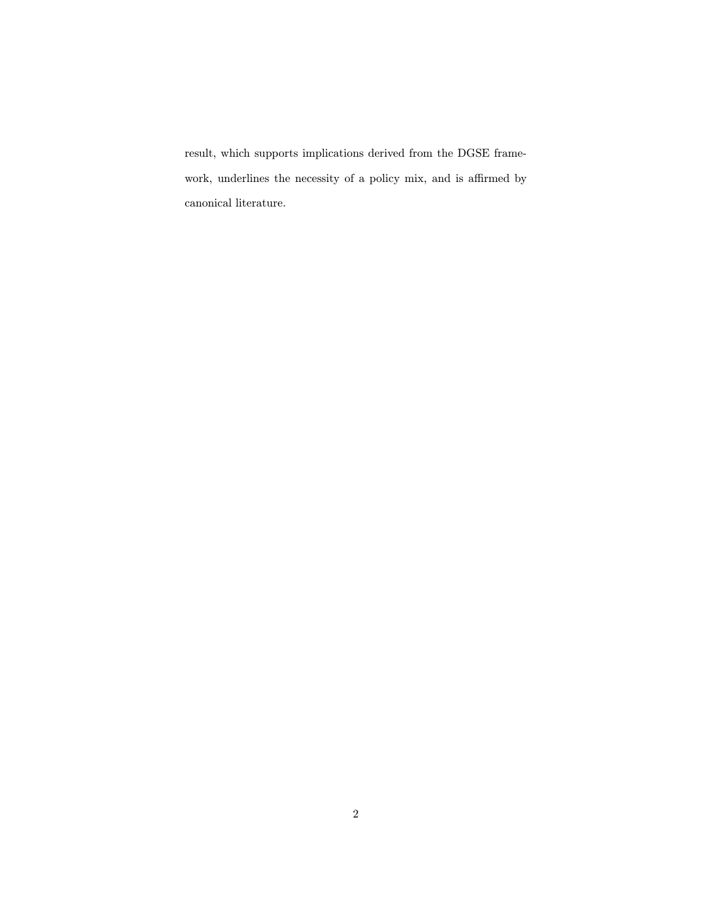result, which supports implications derived from the DGSE framework, underlines the necessity of a policy mix, and is affirmed by canonical literature.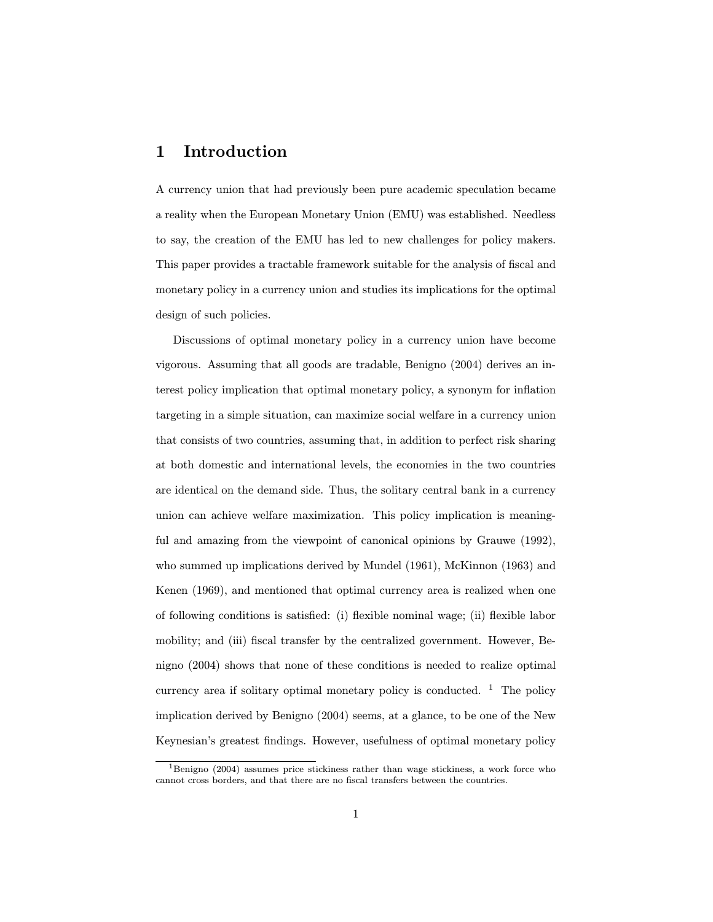### 1 Introduction

A currency union that had previously been pure academic speculation became a reality when the European Monetary Union (EMU) was established. Needless to say, the creation of the EMU has led to new challenges for policy makers. This paper provides a tractable framework suitable for the analysis of fiscal and monetary policy in a currency union and studies its implications for the optimal design of such policies.

Discussions of optimal monetary policy in a currency union have become vigorous. Assuming that all goods are tradable, Benigno (2004) derives an interest policy implication that optimal monetary policy, a synonym for inflation targeting in a simple situation, can maximize social welfare in a currency union that consists of two countries, assuming that, in addition to perfect risk sharing at both domestic and international levels, the economies in the two countries are identical on the demand side. Thus, the solitary central bank in a currency union can achieve welfare maximization. This policy implication is meaningful and amazing from the viewpoint of canonical opinions by Grauwe (1992), who summed up implications derived by Mundel (1961), McKinnon (1963) and Kenen (1969), and mentioned that optimal currency area is realized when one of following conditions is satisfied: (i) flexible nominal wage; (ii) flexible labor mobility; and (iii) fiscal transfer by the centralized government. However, Benigno (2004) shows that none of these conditions is needed to realize optimal currency area if solitary optimal monetary policy is conducted.  $1$  The policy implication derived by Benigno (2004) seems, at a glance, to be one of the New Keynesian's greatest findings. However, usefulness of optimal monetary policy

<sup>&</sup>lt;sup>1</sup>Benigno (2004) assumes price stickiness rather than wage stickiness, a work force who cannot cross borders, and that there are no fiscal transfers between the countries.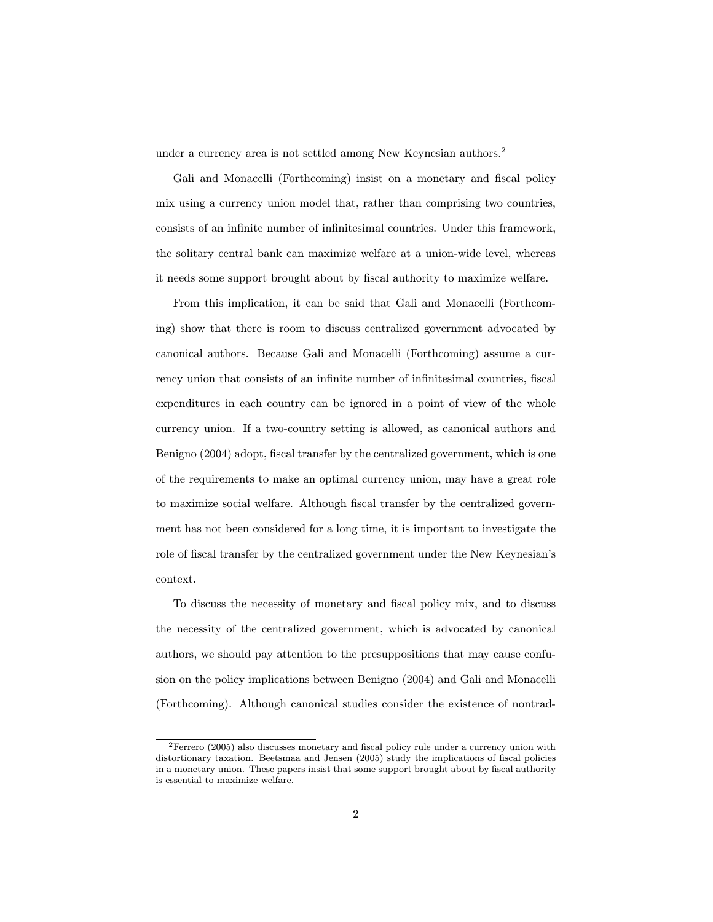under a currency area is not settled among New Keynesian authors.<sup>2</sup>

Gali and Monacelli (Forthcoming) insist on a monetary and fiscal policy mix using a currency union model that, rather than comprising two countries, consists of an infinite number of infinitesimal countries. Under this framework, the solitary central bank can maximize welfare at a union-wide level, whereas it needs some support brought about by fiscal authority to maximize welfare.

From this implication, it can be said that Gali and Monacelli (Forthcoming) show that there is room to discuss centralized government advocated by canonical authors. Because Gali and Monacelli (Forthcoming) assume a currency union that consists of an infinite number of infinitesimal countries, fiscal expenditures in each country can be ignored in a point of view of the whole currency union. If a two-country setting is allowed, as canonical authors and Benigno (2004) adopt, fiscal transfer by the centralized government, which is one of the requirements to make an optimal currency union, may have a great role to maximize social welfare. Although fiscal transfer by the centralized government has not been considered for a long time, it is important to investigate the role of fiscal transfer by the centralized government under the New Keynesian's context.

To discuss the necessity of monetary and fiscal policy mix, and to discuss the necessity of the centralized government, which is advocated by canonical authors, we should pay attention to the presuppositions that may cause confusion on the policy implications between Benigno (2004) and Gali and Monacelli (Forthcoming). Although canonical studies consider the existence of nontrad-

<sup>2</sup>Ferrero (2005) also discusses monetary and fiscal policy rule under a currency union with distortionary taxation. Beetsmaa and Jensen (2005) study the implications of fiscal policies in a monetary union. These papers insist that some support brought about by fiscal authority is essential to maximize welfare.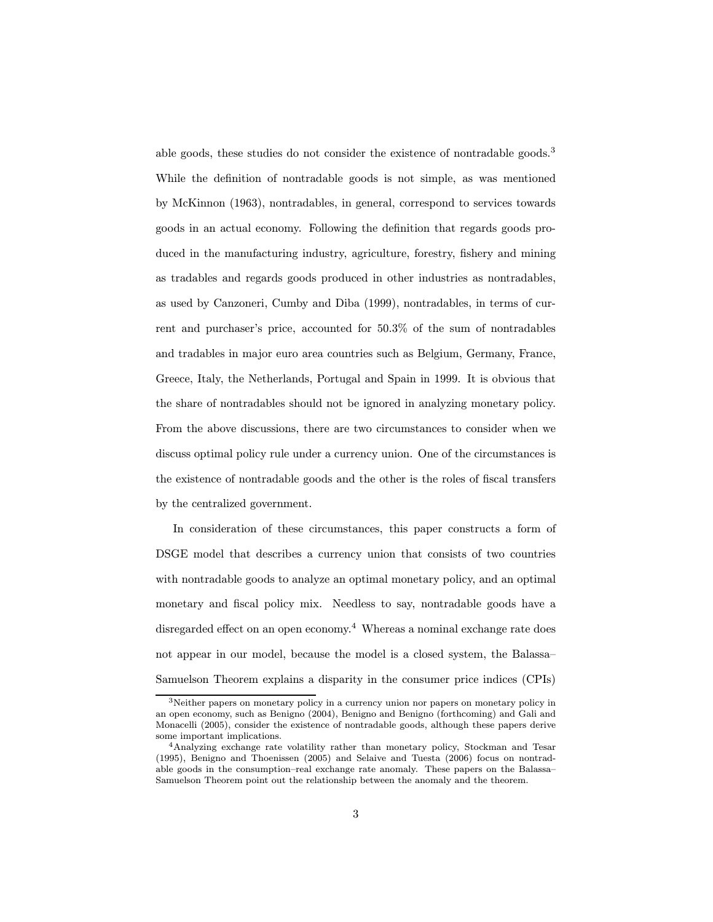able goods, these studies do not consider the existence of nontradable goods.<sup>3</sup> While the definition of nontradable goods is not simple, as was mentioned by McKinnon (1963), nontradables, in general, correspond to services towards goods in an actual economy. Following the definition that regards goods produced in the manufacturing industry, agriculture, forestry, fishery and mining as tradables and regards goods produced in other industries as nontradables, as used by Canzoneri, Cumby and Diba (1999), nontradables, in terms of current and purchaser's price, accounted for 50.3% of the sum of nontradables and tradables in major euro area countries such as Belgium, Germany, France, Greece, Italy, the Netherlands, Portugal and Spain in 1999. It is obvious that the share of nontradables should not be ignored in analyzing monetary policy. From the above discussions, there are two circumstances to consider when we discuss optimal policy rule under a currency union. One of the circumstances is the existence of nontradable goods and the other is the roles of fiscal transfers by the centralized government.

In consideration of these circumstances, this paper constructs a form of DSGE model that describes a currency union that consists of two countries with nontradable goods to analyze an optimal monetary policy, and an optimal monetary and fiscal policy mix. Needless to say, nontradable goods have a disregarded effect on an open economy.<sup>4</sup> Whereas a nominal exchange rate does not appear in our model, because the model is a closed system, the Balassa— Samuelson Theorem explains a disparity in the consumer price indices (CPIs)

<sup>3</sup>Neither papers on monetary policy in a currency union nor papers on monetary policy in an open economy, such as Benigno (2004), Benigno and Benigno (forthcoming) and Gali and Monacelli (2005), consider the existence of nontradable goods, although these papers derive some important implications.

<sup>4</sup>Analyzing exchange rate volatility rather than monetary policy, Stockman and Tesar (1995), Benigno and Thoenissen (2005) and Selaive and Tuesta (2006) focus on nontradable goods in the consumption—real exchange rate anomaly. These papers on the Balassa— Samuelson Theorem point out the relationship between the anomaly and the theorem.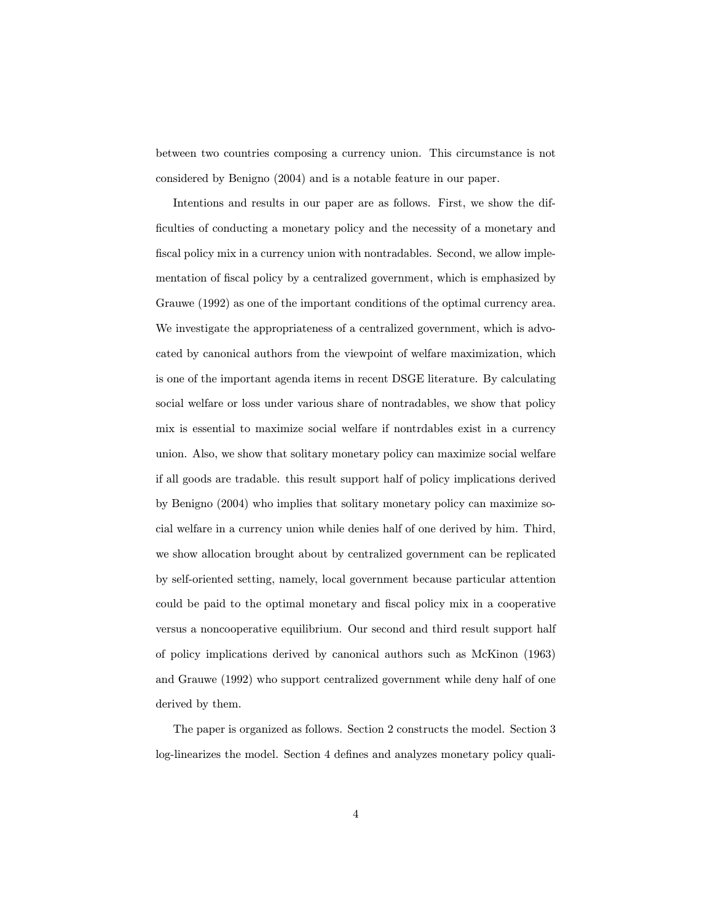between two countries composing a currency union. This circumstance is not considered by Benigno (2004) and is a notable feature in our paper.

Intentions and results in our paper are as follows. First, we show the difficulties of conducting a monetary policy and the necessity of a monetary and fiscal policy mix in a currency union with nontradables. Second, we allow implementation of fiscal policy by a centralized government, which is emphasized by Grauwe (1992) as one of the important conditions of the optimal currency area. We investigate the appropriateness of a centralized government, which is advocated by canonical authors from the viewpoint of welfare maximization, which is one of the important agenda items in recent DSGE literature. By calculating social welfare or loss under various share of nontradables, we show that policy mix is essential to maximize social welfare if nontrdables exist in a currency union. Also, we show that solitary monetary policy can maximize social welfare if all goods are tradable. this result support half of policy implications derived by Benigno (2004) who implies that solitary monetary policy can maximize social welfare in a currency union while denies half of one derived by him. Third, we show allocation brought about by centralized government can be replicated by self-oriented setting, namely, local government because particular attention could be paid to the optimal monetary and fiscal policy mix in a cooperative versus a noncooperative equilibrium. Our second and third result support half of policy implications derived by canonical authors such as McKinon (1963) and Grauwe (1992) who support centralized government while deny half of one derived by them.

The paper is organized as follows. Section 2 constructs the model. Section 3 log-linearizes the model. Section 4 defines and analyzes monetary policy quali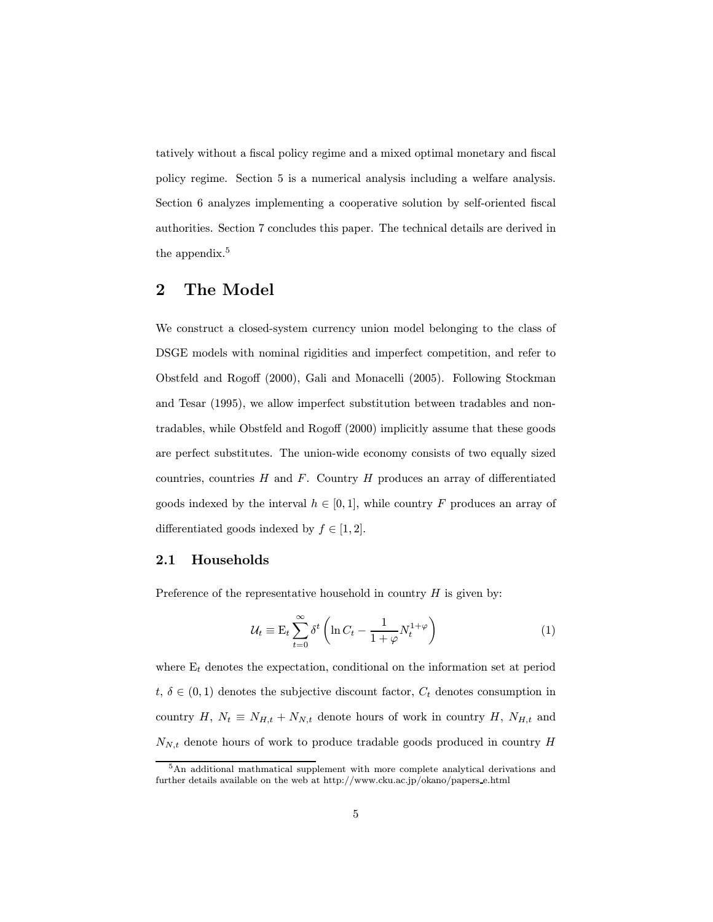tatively without a fiscal policy regime and a mixed optimal monetary and fiscal policy regime. Section 5 is a numerical analysis including a welfare analysis. Section 6 analyzes implementing a cooperative solution by self-oriented fiscal authorities. Section 7 concludes this paper. The technical details are derived in the appendix.<sup>5</sup>

### 2 The Model

We construct a closed-system currency union model belonging to the class of DSGE models with nominal rigidities and imperfect competition, and refer to Obstfeld and Rogoff (2000), Gali and Monacelli (2005). Following Stockman and Tesar (1995), we allow imperfect substitution between tradables and nontradables, while Obstfeld and Rogoff (2000) implicitly assume that these goods are perfect substitutes. The union-wide economy consists of two equally sized countries, countries  $H$  and  $F$ . Country  $H$  produces an array of differentiated goods indexed by the interval  $h \in [0,1]$ , while country F produces an array of differentiated goods indexed by  $f \in [1, 2]$ .

#### 2.1 Households

Preference of the representative household in country  $H$  is given by:

$$
\mathcal{U}_t \equiv \mathcal{E}_t \sum_{t=0}^{\infty} \delta^t \left( \ln C_t - \frac{1}{1+\varphi} N_t^{1+\varphi} \right) \tag{1}
$$

where  $E_t$  denotes the expectation, conditional on the information set at period  $t, \delta \in (0,1)$  denotes the subjective discount factor,  $C_t$  denotes consumption in country H,  $N_t \equiv N_{H,t} + N_{N,t}$  denote hours of work in country H,  $N_{H,t}$  and  $N_{N,t}$  denote hours of work to produce tradable goods produced in country H

<sup>&</sup>lt;sup>5</sup>An additional mathmatical supplement with more complete analytical derivations and further details available on the web at http://www.cku.ac.jp/okano/papers e.html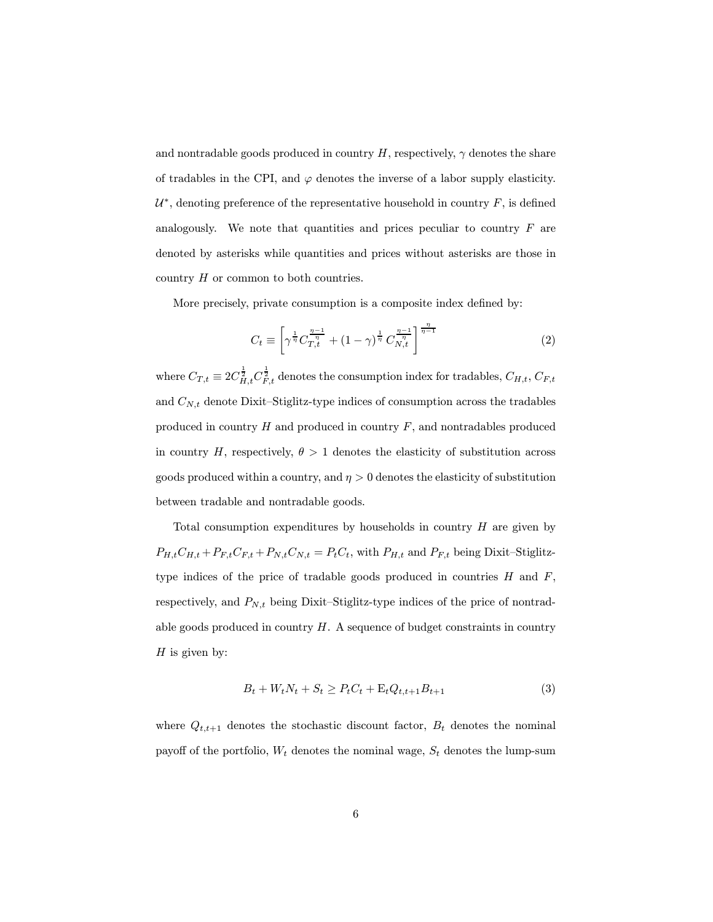and nontradable goods produced in country  $H$ , respectively,  $\gamma$  denotes the share of tradables in the CPI, and  $\varphi$  denotes the inverse of a labor supply elasticity.  $U^*$ , denoting preference of the representative household in country  $F$ , is defined analogously. We note that quantities and prices peculiar to country  $F$  are denoted by asterisks while quantities and prices without asterisks are those in country H or common to both countries.

More precisely, private consumption is a composite index defined by:

$$
C_t \equiv \left[ \gamma^{\frac{1}{\eta}} C_{T,t}^{\frac{\eta-1}{\eta}} + (1-\gamma)^{\frac{1}{\eta}} C_{N,t}^{\frac{\eta-1}{\eta}} \right]^{\frac{\eta}{\eta-1}}
$$
(2)

where  $C_{T,t} \equiv 2 C_{H,t}^{\frac{1}{2}} C_{F,t}^{\frac{1}{2}}$  denotes the consumption index for tradables,  $C_{H,t}, C_{F,t}$ and  $C_{N,t}$  denote Dixit-Stiglitz-type indices of consumption across the tradables produced in country  $H$  and produced in country  $F$ , and nontradables produced in country H, respectively,  $\theta > 1$  denotes the elasticity of substitution across goods produced within a country, and  $\eta > 0$  denotes the elasticity of substitution between tradable and nontradable goods.

Total consumption expenditures by households in country  $H$  are given by  $P_{H,t}C_{H,t} + P_{F,t}C_{F,t} + P_{N,t}C_{N,t} = P_tC_t$ , with  $P_{H,t}$  and  $P_{F,t}$  being Dixit-Stiglitztype indices of the price of tradable goods produced in countries  $H$  and  $F$ , respectively, and  $P_{N,t}$  being Dixit-Stiglitz-type indices of the price of nontradable goods produced in country  $H$ . A sequence of budget constraints in country  $H$  is given by:

$$
B_t + W_t N_t + S_t \ge P_t C_t + \mathcal{E}_t Q_{t,t+1} B_{t+1}
$$
\n(3)

where  $Q_{t,t+1}$  denotes the stochastic discount factor,  $B_t$  denotes the nominal payoff of the portfolio,  $W_t$  denotes the nominal wage,  $S_t$  denotes the lump-sum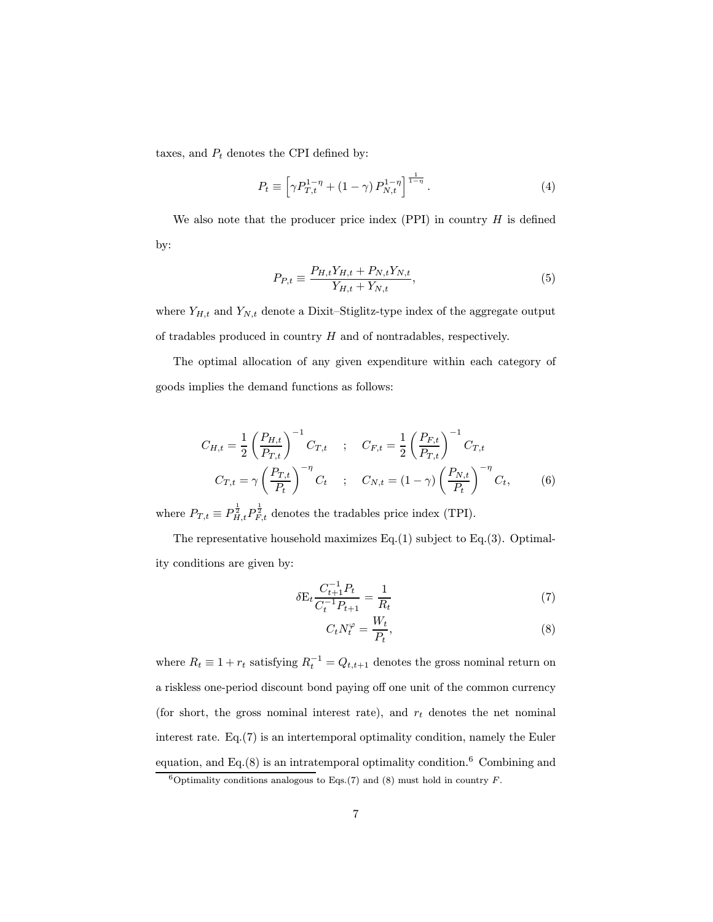taxes, and  $P_t$  denotes the CPI defined by:

$$
P_t \equiv \left[ \gamma P_{T,t}^{1-\eta} + (1-\gamma) P_{N,t}^{1-\eta} \right]^{\frac{1}{1-\eta}}.
$$
 (4)

We also note that the producer price index  $(PPI)$  in country  $H$  is defined by:

$$
P_{P,t} \equiv \frac{P_{H,t}Y_{H,t} + P_{N,t}Y_{N,t}}{Y_{H,t} + Y_{N,t}},
$$
\n(5)

where  $Y_{H,t}$  and  $Y_{N,t}$  denote a Dixit–Stiglitz-type index of the aggregate output of tradables produced in country  $H$  and of nontradables, respectively.

The optimal allocation of any given expenditure within each category of goods implies the demand functions as follows:

$$
C_{H,t} = \frac{1}{2} \left( \frac{P_{H,t}}{P_{T,t}} \right)^{-1} C_{T,t} \quad ; \quad C_{F,t} = \frac{1}{2} \left( \frac{P_{F,t}}{P_{T,t}} \right)^{-1} C_{T,t}
$$

$$
C_{T,t} = \gamma \left( \frac{P_{T,t}}{P_t} \right)^{-\eta} C_t \quad ; \quad C_{N,t} = (1 - \gamma) \left( \frac{P_{N,t}}{P_t} \right)^{-\eta} C_t, \quad (6)
$$

where  $P_{T,t} \equiv P_{H,t}^{\frac{1}{2}} P_{F,t}^{\frac{1}{2}}$  denotes the tradables price index (TPI).

The representative household maximizes Eq.(1) subject to Eq.(3). Optimality conditions are given by:

$$
\delta E_t \frac{C_{t+1}^{-1} P_t}{C_t^{-1} P_{t+1}} = \frac{1}{R_t} \tag{7}
$$

$$
C_t N_t^{\varphi} = \frac{W_t}{P_t},\tag{8}
$$

where  $R_t \equiv 1 + r_t$  satisfying  $R_t^{-1} = Q_{t,t+1}$  denotes the gross nominal return on a riskless one-period discount bond paying off one unit of the common currency (for short, the gross nominal interest rate), and  $r_t$  denotes the net nominal interest rate. Eq.(7) is an intertemporal optimality condition, namely the Euler equation, and Eq. $(8)$  is an intratemporal optimality condition.<sup>6</sup> Combining and

<sup>&</sup>lt;sup>6</sup>Optimality conditions analogous to Eqs.(7) and (8) must hold in country F.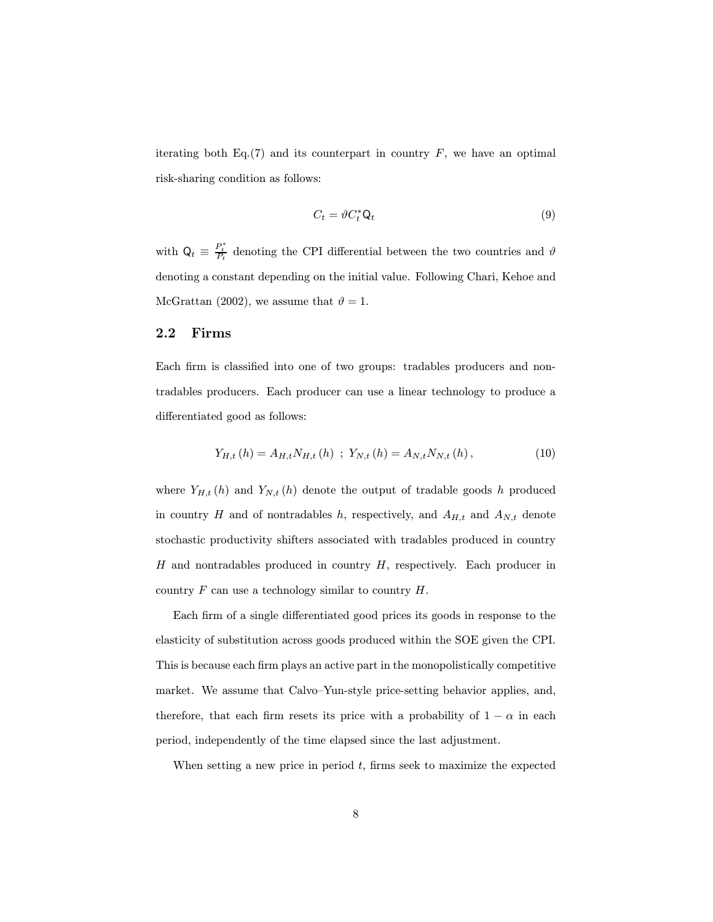iterating both Eq.(7) and its counterpart in country  $F$ , we have an optimal risk-sharing condition as follows:

$$
C_t = \vartheta C_t^* \mathsf{Q}_t \tag{9}
$$

with  $\mathsf{Q}_t \equiv \frac{P_t^*}{P_t}$  denoting the CPI differential between the two countries and  $\vartheta$ denoting a constant depending on the initial value. Following Chari, Kehoe and McGrattan (2002), we assume that  $\vartheta = 1$ .

#### 2.2 Firms

Each firm is classified into one of two groups: tradables producers and nontradables producers. Each producer can use a linear technology to produce a differentiated good as follows:

$$
Y_{H,t}(h) = A_{H,t} N_{H,t}(h) \; ; \; Y_{N,t}(h) = A_{N,t} N_{N,t}(h) \,, \tag{10}
$$

where  $Y_{H,t}(h)$  and  $Y_{N,t}(h)$  denote the output of tradable goods h produced in country H and of nontradables h, respectively, and  $A_{H,t}$  and  $A_{N,t}$  denote stochastic productivity shifters associated with tradables produced in country  $H$  and nontradables produced in country  $H$ , respectively. Each producer in country  $F$  can use a technology similar to country  $H$ .

Each firm of a single differentiated good prices its goods in response to the elasticity of substitution across goods produced within the SOE given the CPI. This is because each firm plays an active part in the monopolistically competitive market. We assume that Calvo—Yun-style price-setting behavior applies, and, therefore, that each firm resets its price with a probability of  $1 - \alpha$  in each period, independently of the time elapsed since the last adjustment.

When setting a new price in period  $t$ , firms seek to maximize the expected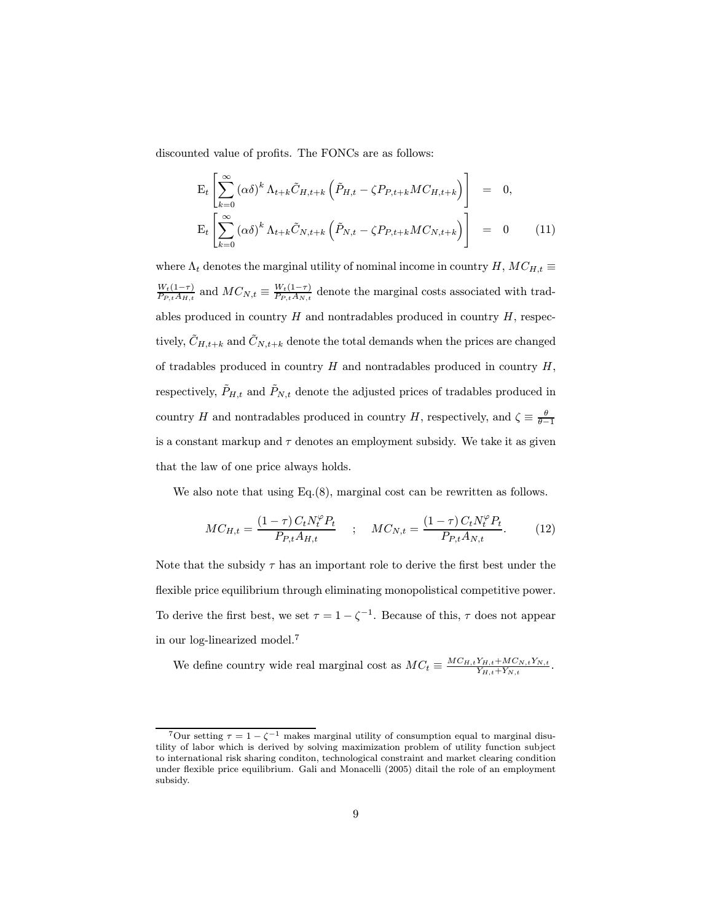discounted value of profits. The FONCs are as follows:

$$
\mathbf{E}_{t}\left[\sum_{k=0}^{\infty}(\alpha\delta)^{k}\,\Lambda_{t+k}\tilde{C}_{H,t+k}\left(\tilde{P}_{H,t}-\zeta P_{P,t+k}MC_{H,t+k}\right)\right] = 0,
$$
\n
$$
\mathbf{E}_{t}\left[\sum_{k=0}^{\infty}(\alpha\delta)^{k}\,\Lambda_{t+k}\tilde{C}_{N,t+k}\left(\tilde{P}_{N,t}-\zeta P_{P,t+k}MC_{N,t+k}\right)\right] = 0 \qquad (11)
$$

where  $\Lambda_t$  denotes the marginal utility of nominal income in country H,  $MC_{H,t} \equiv$  $\frac{W_t(1-\tau)}{P_{P,t}A_{H,t}}$  and  $MC_{N,t} \equiv \frac{W_t(1-\tau)}{P_{P,t}A_{N,t}}$  denote the marginal costs associated with tradables produced in country  $H$  and nontradables produced in country  $H$ , respectively,  $\tilde{C}_{H,t+k}$  and  $\tilde{C}_{N,t+k}$  denote the total demands when the prices are changed of tradables produced in country  $H$  and nontradables produced in country  $H$ , respectively,  $\tilde{P}_{H,t}$  and  $\tilde{P}_{N,t}$  denote the adjusted prices of tradables produced in country H and nontradables produced in country H, respectively, and  $\zeta \equiv \frac{\theta}{\theta - 1}$ is a constant markup and  $\tau$  denotes an employment subsidy. We take it as given that the law of one price always holds.

We also note that using Eq.(8), marginal cost can be rewritten as follows.

$$
MC_{H,t} = \frac{(1-\tau) C_t N_t^{\varphi} P_t}{P_{P,t} A_{H,t}} \quad ; \quad MC_{N,t} = \frac{(1-\tau) C_t N_t^{\varphi} P_t}{P_{P,t} A_{N,t}}.
$$
 (12)

Note that the subsidy  $\tau$  has an important role to derive the first best under the flexible price equilibrium through eliminating monopolistical competitive power. To derive the first best, we set  $\tau = 1 - \zeta^{-1}$ . Because of this,  $\tau$  does not appear in our log-linearized model.<sup>7</sup>

We define country wide real marginal cost as  $MC_t \equiv \frac{MC_{H,t}Y_{H,t} + MC_{N,t}Y_{N,t}}{Y_{H,t} + Y_{N,t}}$ .

<sup>&</sup>lt;sup>7</sup>Our setting  $\tau = 1 - \zeta^{-1}$  makes marginal utility of consumption equal to marginal disutility of labor which is derived by solving maximization problem of utility function subject to international risk sharing conditon, technological constraint and market clearing condition under flexible price equilibrium. Gali and Monacelli (2005) ditail the role of an employment subsidy.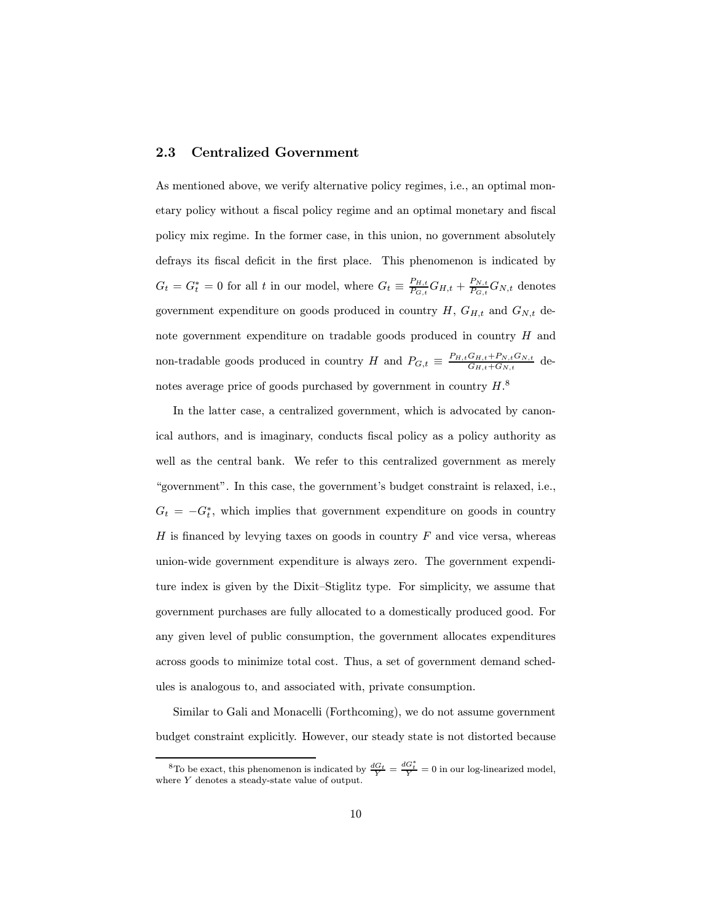#### 2.3 Centralized Government

As mentioned above, we verify alternative policy regimes, i.e., an optimal monetary policy without a fiscal policy regime and an optimal monetary and fiscal policy mix regime. In the former case, in this union, no government absolutely defrays its fiscal deficit in the first place. This phenomenon is indicated by  $G_t = G_t^* = 0$  for all t in our model, where  $G_t \equiv \frac{P_{H,t}}{P_{G,t}} G_{H,t} + \frac{P_{N,t}}{P_{G,t}} G_{N,t}$  denotes government expenditure on goods produced in country  $H, G_{H,t}$  and  $G_{N,t}$  denote government expenditure on tradable goods produced in country H and non-tradable goods produced in country H and  $P_{G,t} \equiv \frac{P_{H,t}G_{H,t} + P_{N,t}G_{N,t}}{G_{H,t} + G_{N,t}}$  denotes average price of goods purchased by government in country  $H$ .<sup>8</sup>

In the latter case, a centralized government, which is advocated by canonical authors, and is imaginary, conducts fiscal policy as a policy authority as well as the central bank. We refer to this centralized government as merely "government". In this case, the government's budget constraint is relaxed, i.e.,  $G_t = -G_t^*$ , which implies that government expenditure on goods in country  $H$  is financed by levying taxes on goods in country  $F$  and vice versa, whereas union-wide government expenditure is always zero. The government expenditure index is given by the Dixit—Stiglitz type. For simplicity, we assume that government purchases are fully allocated to a domestically produced good. For any given level of public consumption, the government allocates expenditures across goods to minimize total cost. Thus, a set of government demand schedules is analogous to, and associated with, private consumption.

Similar to Gali and Monacelli (Forthcoming), we do not assume government budget constraint explicitly. However, our steady state is not distorted because

<sup>&</sup>lt;sup>8</sup>To be exact, this phenomenon is indicated by  $\frac{dG_t}{Y} = \frac{dG_t^*}{Y} = 0$  in our log-linearized model, where  $\boldsymbol{Y}$  denotes a steady-state value of output.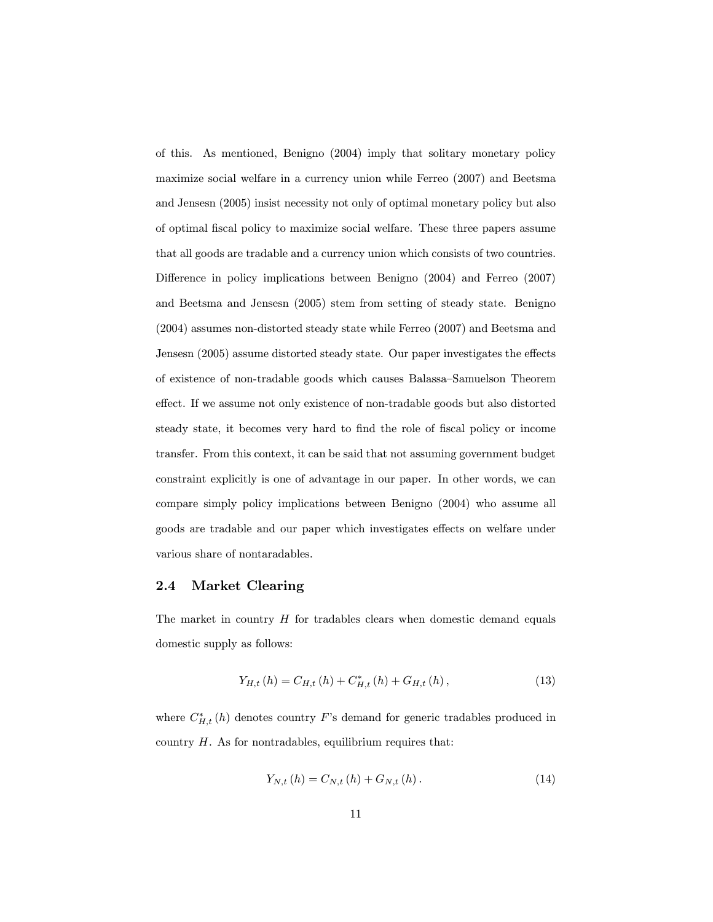of this. As mentioned, Benigno (2004) imply that solitary monetary policy maximize social welfare in a currency union while Ferreo (2007) and Beetsma and Jensesn (2005) insist necessity not only of optimal monetary policy but also of optimal fiscal policy to maximize social welfare. These three papers assume that all goods are tradable and a currency union which consists of two countries. Difference in policy implications between Benigno (2004) and Ferreo (2007) and Beetsma and Jensesn (2005) stem from setting of steady state. Benigno (2004) assumes non-distorted steady state while Ferreo (2007) and Beetsma and Jensesn (2005) assume distorted steady state. Our paper investigates the effects of existence of non-tradable goods which causes Balassa—Samuelson Theorem effect. If we assume not only existence of non-tradable goods but also distorted steady state, it becomes very hard to find the role of fiscal policy or income transfer. From this context, it can be said that not assuming government budget constraint explicitly is one of advantage in our paper. In other words, we can compare simply policy implications between Benigno (2004) who assume all goods are tradable and our paper which investigates effects on welfare under various share of nontaradables.

#### 2.4 Market Clearing

The market in country  $H$  for tradables clears when domestic demand equals domestic supply as follows:

$$
Y_{H,t}(h) = C_{H,t}(h) + C_{H,t}^{*}(h) + G_{H,t}(h),
$$
\n(13)

where  $C_{H,t}^*(h)$  denotes country F's demand for generic tradables produced in country  $H$ . As for nontradables, equilibrium requires that:

$$
Y_{N,t}(h) = C_{N,t}(h) + G_{N,t}(h).
$$
\n(14)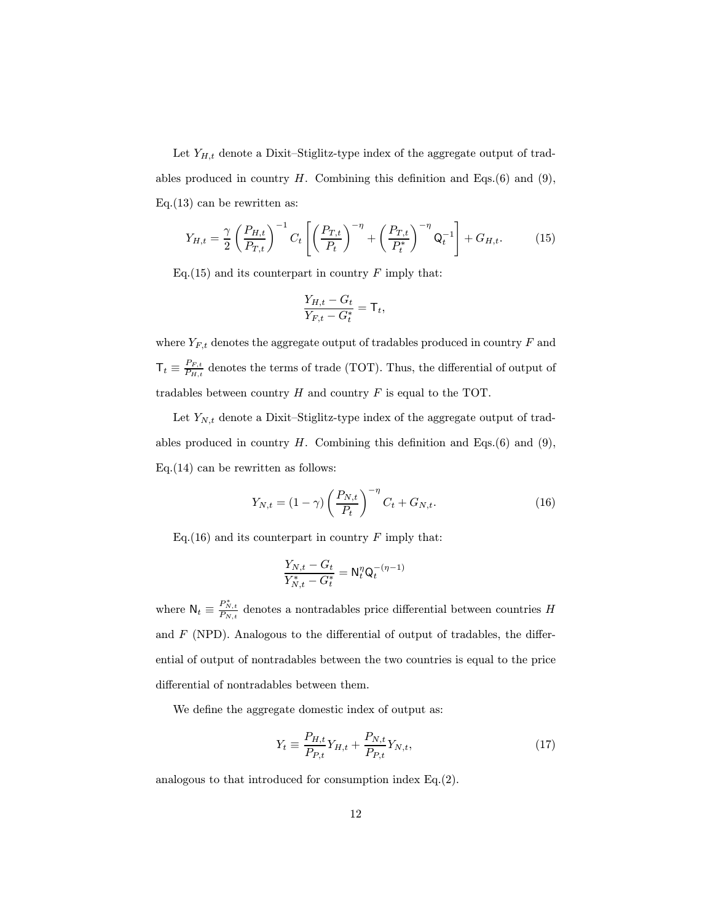Let  $Y_{H,t}$  denote a Dixit–Stiglitz-type index of the aggregate output of tradables produced in country  $H$ . Combining this definition and Eqs.(6) and (9), Eq.(13) can be rewritten as:

$$
Y_{H,t} = \frac{\gamma}{2} \left( \frac{P_{H,t}}{P_{T,t}} \right)^{-1} C_t \left[ \left( \frac{P_{T,t}}{P_t} \right)^{-\eta} + \left( \frac{P_{T,t}}{P_t^*} \right)^{-\eta} Q_t^{-1} \right] + G_{H,t}.
$$
 (15)

Eq.(15) and its counterpart in country  $F$  imply that:

$$
\frac{Y_{H,t} - G_t}{Y_{F,t} - G_t^*} = \mathsf{T}_t,
$$

where  $Y_{F,t}$  denotes the aggregate output of tradables produced in country  $F$  and  $\mathsf{T}_t \equiv \frac{P_{F,t}}{P_{H,t}}$  denotes the terms of trade (TOT). Thus, the differential of output of tradables between country  $H$  and country  $F$  is equal to the TOT.

Let  $Y_{N,t}$  denote a Dixit–Stiglitz-type index of the aggregate output of tradables produced in country  $H$ . Combining this definition and Eqs.(6) and (9),  $Eq.(14)$  can be rewritten as follows:

$$
Y_{N,t} = (1 - \gamma) \left(\frac{P_{N,t}}{P_t}\right)^{-\eta} C_t + G_{N,t}.
$$
 (16)

Eq.(16) and its counterpart in country  $F$  imply that:

$$
\frac{Y_{N,t}-G_t}{Y^*_{N,t}-G^*_t}=\mathsf{N}_t^\eta\mathsf{Q}_t^{-(\eta-1)}
$$

where  $\mathsf{N}_t \equiv \frac{P^*_{N,t}}{P_{N,t}}$  denotes a nontradables price differential between countries H and  $F$  (NPD). Analogous to the differential of output of tradables, the differential of output of nontradables between the two countries is equal to the price differential of nontradables between them.

We define the aggregate domestic index of output as:

$$
Y_t \equiv \frac{P_{H,t}}{P_{P,t}} Y_{H,t} + \frac{P_{N,t}}{P_{P,t}} Y_{N,t},
$$
\n(17)

analogous to that introduced for consumption index Eq.(2).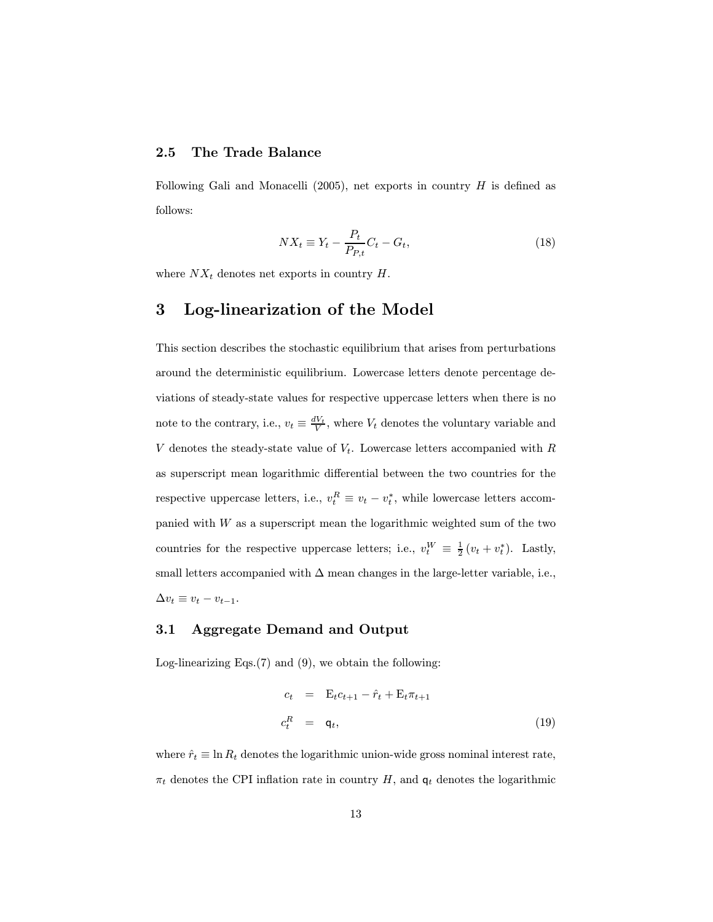#### 2.5 The Trade Balance

Following Gali and Monacelli (2005), net exports in country  $H$  is defined as follows:

$$
NX_t \equiv Y_t - \frac{P_t}{P_{P,t}} C_t - G_t, \qquad (18)
$$

where  $NX_t$  denotes net exports in country  $H$ .

### 3 Log-linearization of the Model

This section describes the stochastic equilibrium that arises from perturbations around the deterministic equilibrium. Lowercase letters denote percentage deviations of steady-state values for respective uppercase letters when there is no note to the contrary, i.e.,  $v_t \equiv \frac{dV_t}{V}$ , where  $V_t$  denotes the voluntary variable and V denotes the steady-state value of  $V_t$ . Lowercase letters accompanied with R as superscript mean logarithmic differential between the two countries for the respective uppercase letters, i.e.,  $v_t^R \equiv v_t - v_t^*$ , while lowercase letters accompanied with  $W$  as a superscript mean the logarithmic weighted sum of the two countries for the respective uppercase letters; i.e.,  $v_t^W \equiv \frac{1}{2}(v_t + v_t^*)$ . Lastly, small letters accompanied with  $\Delta$  mean changes in the large-letter variable, i.e.,  $\Delta v_t \equiv v_t - v_{t-1}.$ 

#### 3.1 Aggregate Demand and Output

Log-linearizing Eqs. $(7)$  and  $(9)$ , we obtain the following:

$$
c_t = \mathbf{E}_t c_{t+1} - \hat{r}_t + \mathbf{E}_t \pi_{t+1}
$$
  
\n
$$
c_t^R = \mathbf{q}_t, \tag{19}
$$

where  $\hat{r}_t \equiv \ln R_t$  denotes the logarithmic union-wide gross nominal interest rate,  $\pi_t$  denotes the CPI inflation rate in country H, and  $q_t$  denotes the logarithmic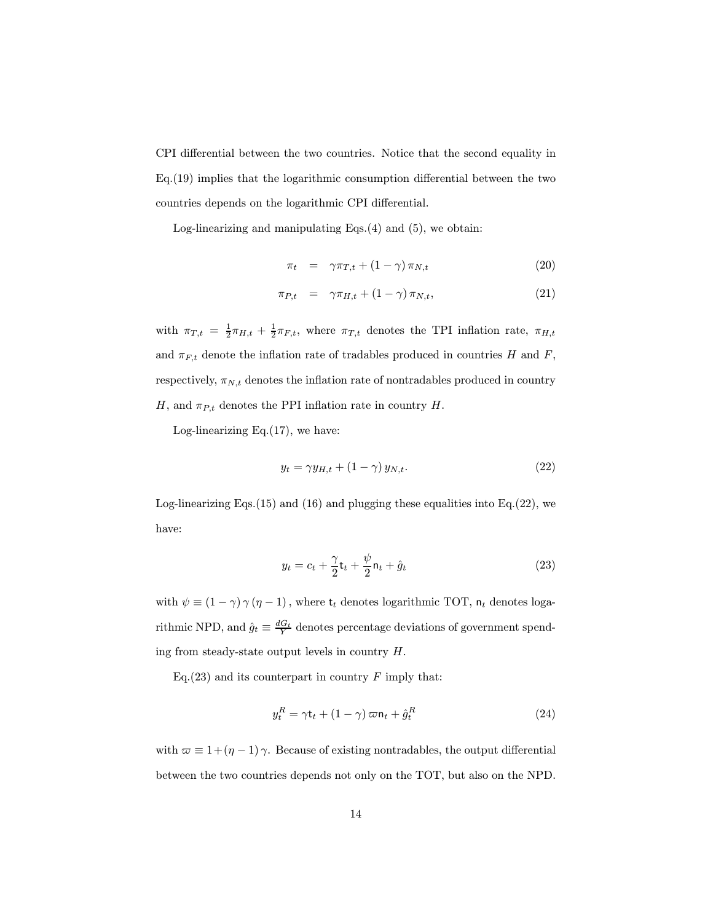CPI differential between the two countries. Notice that the second equality in Eq.(19) implies that the logarithmic consumption differential between the two countries depends on the logarithmic CPI differential.

Log-linearizing and manipulating Eqs.(4) and (5), we obtain:

$$
\pi_t = \gamma \pi_{T,t} + (1 - \gamma) \pi_{N,t} \tag{20}
$$

$$
\pi_{P,t} = \gamma \pi_{H,t} + (1 - \gamma) \pi_{N,t}, \qquad (21)
$$

with  $\pi_{T,t} = \frac{1}{2}\pi_{H,t} + \frac{1}{2}\pi_{F,t}$ , where  $\pi_{T,t}$  denotes the TPI inflation rate,  $\pi_{H,t}$ and  $\pi_{F,t}$  denote the inflation rate of tradables produced in countries H and F, respectively,  $\pi_{N,t}$  denotes the inflation rate of nontradables produced in country H, and  $\pi_{P,t}$  denotes the PPI inflation rate in country H.

Log-linearizing Eq. $(17)$ , we have:

$$
y_t = \gamma y_{H,t} + (1 - \gamma) y_{N,t}.
$$
\n<sup>(22)</sup>

Log-linearizing Eqs.  $(15)$  and  $(16)$  and plugging these equalities into Eq.  $(22)$ , we have:

$$
y_t = c_t + \frac{\gamma}{2} \mathbf{t}_t + \frac{\psi}{2} \mathbf{n}_t + \hat{g}_t \tag{23}
$$

with  $\psi \equiv (1 - \gamma) \gamma (\eta - 1)$ , where  $t_t$  denotes logarithmic TOT,  $n_t$  denotes logarithmic NPD, and  $\hat{g}_t \equiv \frac{dG_t}{Y}$  denotes percentage deviations of government spending from steady-state output levels in country H.

Eq.(23) and its counterpart in country  $F$  imply that:

$$
y_t^R = \gamma \mathbf{t}_t + (1 - \gamma) \varpi \mathbf{n}_t + \hat{g}_t^R \tag{24}
$$

with  $\varpi \equiv 1 + (\eta - 1)\gamma$ . Because of existing nontradables, the output differential between the two countries depends not only on the TOT, but also on the NPD.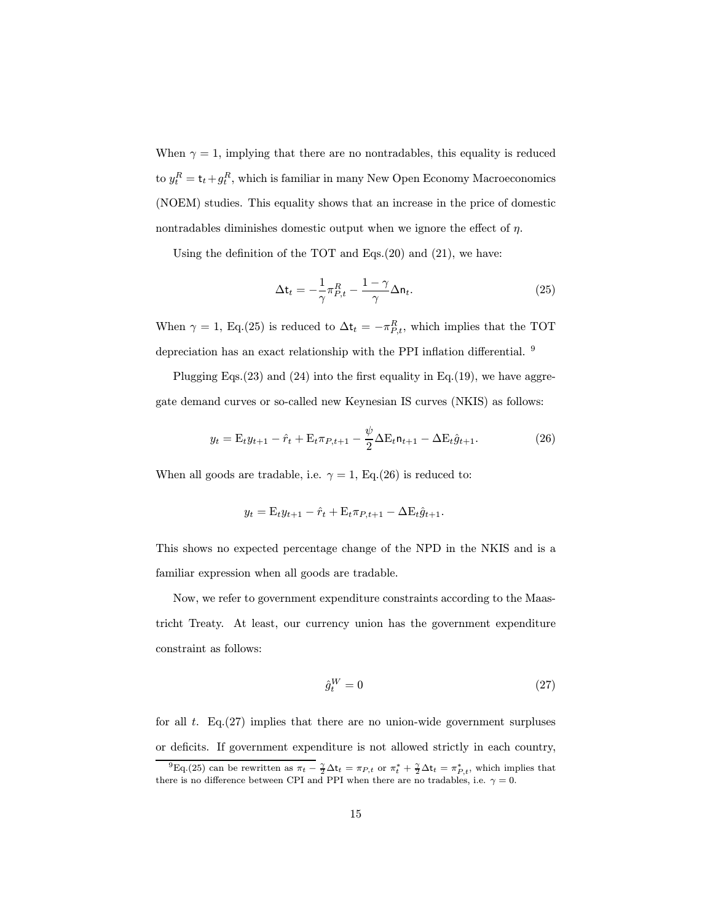When  $\gamma = 1$ , implying that there are no nontradables, this equality is reduced to  $y_t^R = \mathsf{t}_t+g_t^R$ , which is familiar in many New Open Economy Macroeconomics (NOEM) studies. This equality shows that an increase in the price of domestic nontradables diminishes domestic output when we ignore the effect of  $\eta$ .

Using the definition of the TOT and Eqs.(20) and (21), we have:

$$
\Delta t_t = -\frac{1}{\gamma} \pi_{P,t}^R - \frac{1 - \gamma}{\gamma} \Delta n_t.
$$
\n(25)

When  $\gamma = 1$ , Eq.(25) is reduced to  $\Delta t_t = -\pi_{P,t}^R$ , which implies that the TOT depreciation has an exact relationship with the PPI inflation differential. <sup>9</sup>

Plugging Eqs.(23) and (24) into the first equality in Eq.(19), we have aggregate demand curves or so-called new Keynesian IS curves (NKIS) as follows:

$$
y_t = \mathcal{E}_t y_{t+1} - \hat{r}_t + \mathcal{E}_t \pi_{P,t+1} - \frac{\psi}{2} \Delta \mathcal{E}_t \mathsf{n}_{t+1} - \Delta \mathcal{E}_t \hat{g}_{t+1}.
$$
 (26)

When all goods are tradable, i.e.  $\gamma = 1$ , Eq.(26) is reduced to:

$$
y_t = \mathbf{E}_t y_{t+1} - \hat{r}_t + \mathbf{E}_t \pi_{P,t+1} - \Delta \mathbf{E}_t \hat{g}_{t+1}.
$$

This shows no expected percentage change of the NPD in the NKIS and is a familiar expression when all goods are tradable.

Now, we refer to government expenditure constraints according to the Maastricht Treaty. At least, our currency union has the government expenditure constraint as follows:

$$
\hat{g}_t^W = 0 \tag{27}
$$

for all  $t$ . Eq.(27) implies that there are no union-wide government surpluses or deficits. If government expenditure is not allowed strictly in each country,

<sup>&</sup>lt;sup>9</sup>Eq.(25) can be rewritten as  $\pi_t - \frac{\gamma}{2} \Delta t_t = \pi_{P,t}$  or  $\pi_t^* + \frac{\gamma}{2} \Delta t_t = \pi_{P,t}^*$ , which implies that there is no difference between CPI and PPI when there are no tradables, i.e.  $\gamma = 0$ .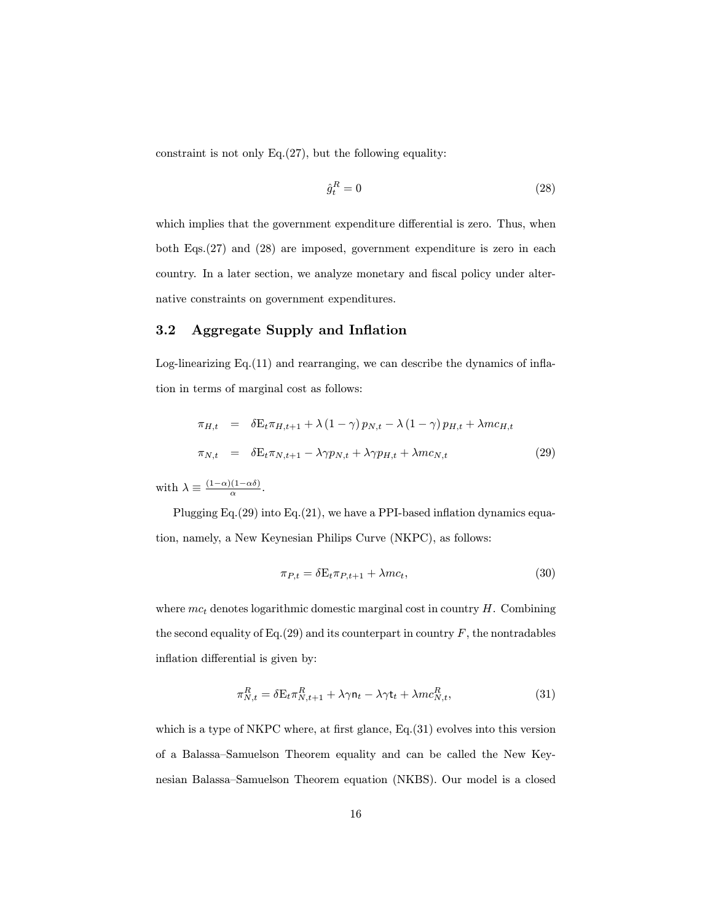constraint is not only  $Eq.(27)$ , but the following equality:

$$
\hat{g}_t^R = 0\tag{28}
$$

which implies that the government expenditure differential is zero. Thus, when both Eqs.(27) and (28) are imposed, government expenditure is zero in each country. In a later section, we analyze monetary and fiscal policy under alternative constraints on government expenditures.

#### 3.2 Aggregate Supply and Inflation

Log-linearizing Eq.(11) and rearranging, we can describe the dynamics of inflation in terms of marginal cost as follows:

$$
\pi_{H,t} = \delta E_t \pi_{H,t+1} + \lambda (1 - \gamma) p_{N,t} - \lambda (1 - \gamma) p_{H,t} + \lambda m c_{H,t}
$$
  

$$
\pi_{N,t} = \delta E_t \pi_{N,t+1} - \lambda \gamma p_{N,t} + \lambda \gamma p_{H,t} + \lambda m c_{N,t}
$$
 (29)

with  $\lambda \equiv \frac{(1-\alpha)(1-\alpha\delta)}{\alpha}$ .

Plugging Eq.(29) into Eq.(21), we have a PPI-based inflation dynamics equation, namely, a New Keynesian Philips Curve (NKPC), as follows:

$$
\pi_{P,t} = \delta E_t \pi_{P,t+1} + \lambda m c_t, \tag{30}
$$

where  $mc_t$  denotes logarithmic domestic marginal cost in country  $H$ . Combining the second equality of Eq.(29) and its counterpart in country  $F$ , the nontradables inflation differential is given by:

$$
\pi_{N,t}^R = \delta \mathbf{E}_t \pi_{N,t+1}^R + \lambda \gamma \mathbf{n}_t - \lambda \gamma \mathbf{t}_t + \lambda m c_{N,t}^R, \tag{31}
$$

which is a type of NKPC where, at first glance, Eq.(31) evolves into this version of a Balassa—Samuelson Theorem equality and can be called the New Keynesian Balassa—Samuelson Theorem equation (NKBS). Our model is a closed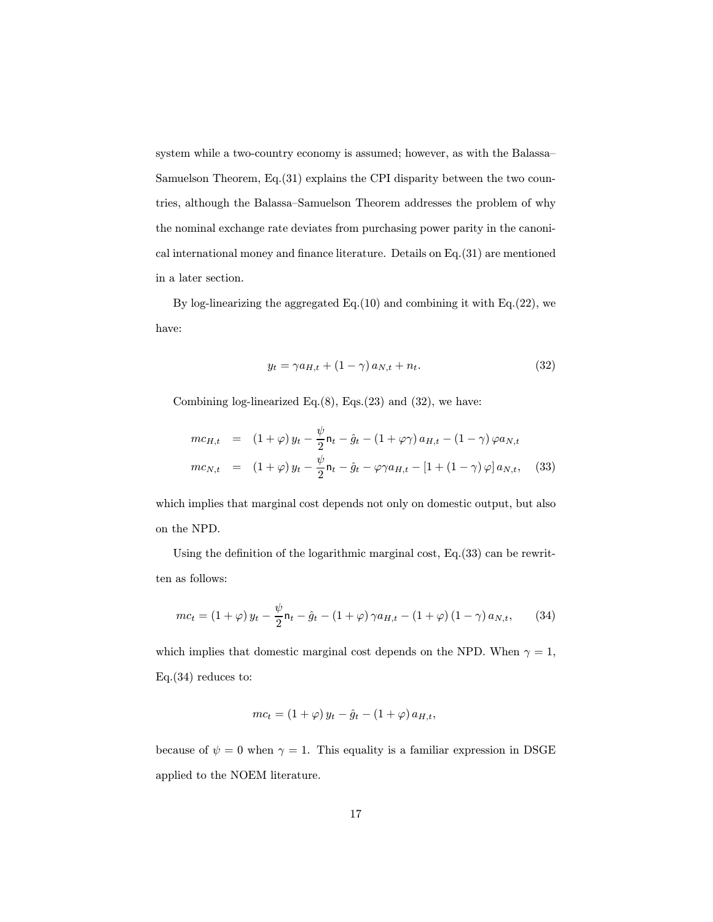system while a two-country economy is assumed; however, as with the Balassa— Samuelson Theorem, Eq.(31) explains the CPI disparity between the two countries, although the Balassa—Samuelson Theorem addresses the problem of why the nominal exchange rate deviates from purchasing power parity in the canonical international money and finance literature. Details on Eq.(31) are mentioned in a later section.

By log-linearizing the aggregated Eq.(10) and combining it with Eq.(22), we have:

$$
y_t = \gamma a_{H,t} + (1 - \gamma) a_{N,t} + n_t. \tag{32}
$$

Combining log-linearized Eq. $(8)$ , Eqs. $(23)$  and  $(32)$ , we have:

$$
mc_{H,t} = (1+\varphi) y_t - \frac{\psi}{2} \mathbf{n}_t - \hat{g}_t - (1+\varphi \gamma) a_{H,t} - (1-\gamma) \varphi a_{N,t}
$$

$$
mc_{N,t} = (1+\varphi) y_t - \frac{\psi}{2} \mathbf{n}_t - \hat{g}_t - \varphi \gamma a_{H,t} - [1 + (1-\gamma) \varphi] a_{N,t}, \quad (33)
$$

which implies that marginal cost depends not only on domestic output, but also on the NPD.

Using the definition of the logarithmic marginal cost, Eq.(33) can be rewritten as follows:

$$
mc_t = (1+\varphi) y_t - \frac{\psi}{2} \mathsf{n}_t - \hat{g}_t - (1+\varphi) \gamma a_{H,t} - (1+\varphi) (1-\gamma) a_{N,t}, \qquad (34)
$$

which implies that domestic marginal cost depends on the NPD. When  $\gamma = 1$ , Eq.(34) reduces to:

$$
mc_t = (1 + \varphi) y_t - \hat{g}_t - (1 + \varphi) a_{H,t},
$$

because of  $\psi = 0$  when  $\gamma = 1$ . This equality is a familiar expression in DSGE applied to the NOEM literature.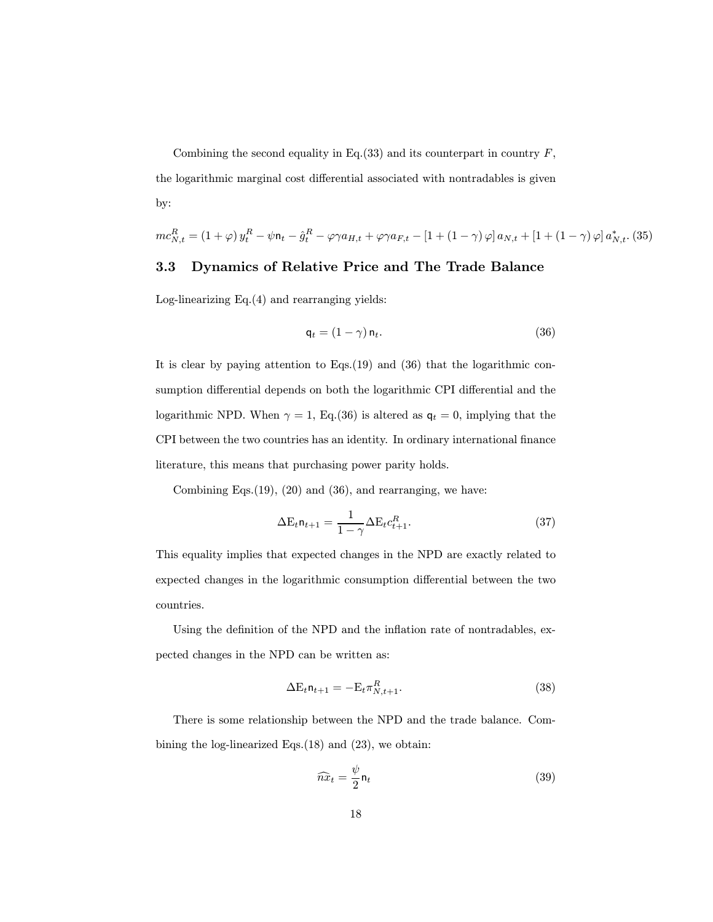Combining the second equality in Eq.(33) and its counterpart in country  $F$ , the logarithmic marginal cost differential associated with nontradables is given by:

$$
mc_{N,t}^{R} = (1+\varphi)y_{t}^{R} - \psi \mathbf{n}_{t} - \hat{g}_{t}^{R} - \varphi \gamma a_{H,t} + \varphi \gamma a_{F,t} - [1 + (1-\gamma)\varphi] a_{N,t} + [1 + (1-\gamma)\varphi] a_{N,t}^{*} \tag{35}
$$

#### 3.3 Dynamics of Relative Price and The Trade Balance

Log-linearizing Eq.(4) and rearranging yields:

$$
\mathsf{q}_t = (1 - \gamma) \, \mathsf{n}_t. \tag{36}
$$

It is clear by paying attention to Eqs.(19) and (36) that the logarithmic consumption differential depends on both the logarithmic CPI differential and the logarithmic NPD. When  $\gamma = 1$ , Eq.(36) is altered as  $q_t = 0$ , implying that the CPI between the two countries has an identity. In ordinary international finance literature, this means that purchasing power parity holds.

Combining Eqs. $(19)$ ,  $(20)$  and  $(36)$ , and rearranging, we have:

$$
\Delta E_t \mathbf{n}_{t+1} = \frac{1}{1 - \gamma} \Delta E_t c_{t+1}^R.
$$
\n(37)

This equality implies that expected changes in the NPD are exactly related to expected changes in the logarithmic consumption differential between the two countries.

Using the definition of the NPD and the inflation rate of nontradables, expected changes in the NPD can be written as:

$$
\Delta E_t \mathsf{n}_{t+1} = -E_t \pi_{N,t+1}^R. \tag{38}
$$

There is some relationship between the NPD and the trade balance. Combining the log-linearized Eqs.(18) and (23), we obtain:

$$
\widehat{n}x_t = \frac{\psi}{2} \mathsf{n}_t \tag{39}
$$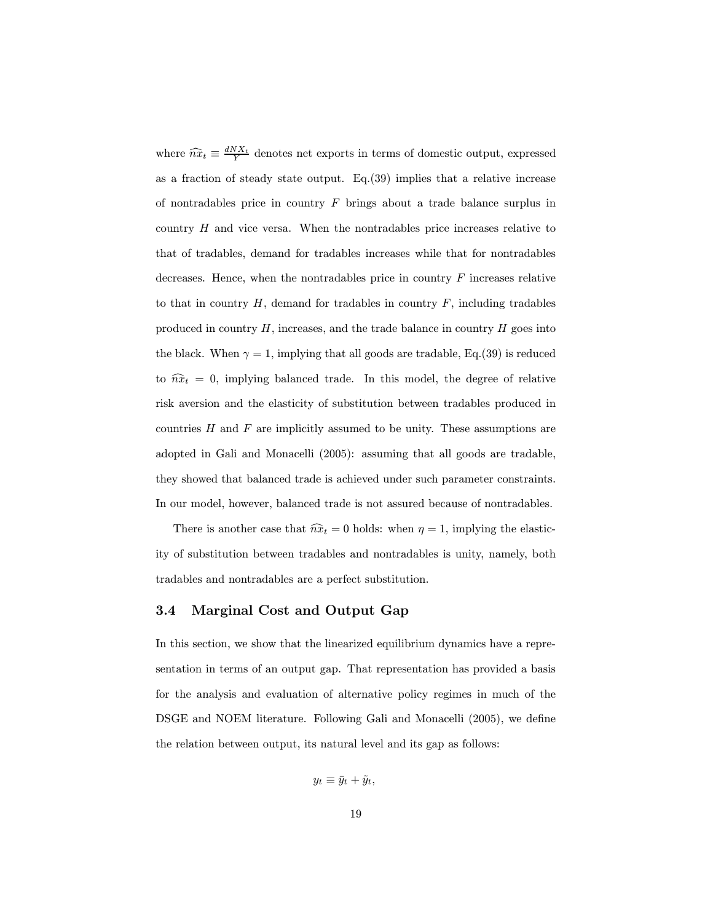where  $\widehat{nx}_t \equiv \frac{dNX_t}{Y}$  denotes net exports in terms of domestic output, expressed as a fraction of steady state output. Eq.(39) implies that a relative increase of nontradables price in country  $F$  brings about a trade balance surplus in country  $H$  and vice versa. When the nontradables price increases relative to that of tradables, demand for tradables increases while that for nontradables decreases. Hence, when the nontradables price in country  $F$  increases relative to that in country  $H$ , demand for tradables in country  $F$ , including tradables produced in country  $H$ , increases, and the trade balance in country  $H$  goes into the black. When  $\gamma = 1$ , implying that all goods are tradable, Eq.(39) is reduced to  $\hat{n}x_t = 0$ , implying balanced trade. In this model, the degree of relative risk aversion and the elasticity of substitution between tradables produced in countries  $H$  and  $F$  are implicitly assumed to be unity. These assumptions are adopted in Gali and Monacelli (2005): assuming that all goods are tradable, they showed that balanced trade is achieved under such parameter constraints. In our model, however, balanced trade is not assured because of nontradables.

There is another case that  $\widehat{n}x_t = 0$  holds: when  $\eta = 1$ , implying the elasticity of substitution between tradables and nontradables is unity, namely, both tradables and nontradables are a perfect substitution.

#### 3.4 Marginal Cost and Output Gap

In this section, we show that the linearized equilibrium dynamics have a representation in terms of an output gap. That representation has provided a basis for the analysis and evaluation of alternative policy regimes in much of the DSGE and NOEM literature. Following Gali and Monacelli (2005), we define the relation between output, its natural level and its gap as follows:

$$
y_t \equiv \bar{y}_t + \tilde{y}_t,
$$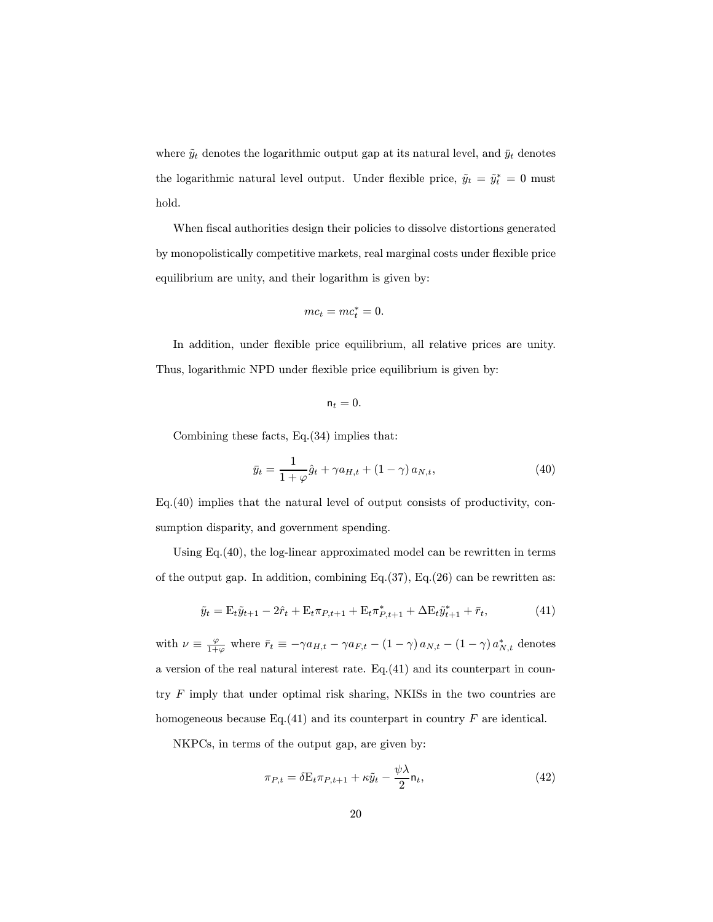where  $\tilde{y}_t$  denotes the logarithmic output gap at its natural level, and  $\bar{y}_t$  denotes the logarithmic natural level output. Under flexible price,  $\tilde{y}_t = \tilde{y}_t^* = 0$  must hold.

When fiscal authorities design their policies to dissolve distortions generated by monopolistically competitive markets, real marginal costs under flexible price equilibrium are unity, and their logarithm is given by:

$$
mc_t = mc_t^* = 0.
$$

In addition, under flexible price equilibrium, all relative prices are unity. Thus, logarithmic NPD under flexible price equilibrium is given by:

$$
\mathsf{n}_t=0.
$$

Combining these facts, Eq.(34) implies that:

$$
\bar{y}_t = \frac{1}{1+\varphi}\hat{g}_t + \gamma a_{H,t} + (1-\gamma) a_{N,t},
$$
\n(40)

Eq.(40) implies that the natural level of output consists of productivity, consumption disparity, and government spending.

Using Eq.(40), the log-linear approximated model can be rewritten in terms of the output gap. In addition, combining Eq. $(37)$ , Eq. $(26)$  can be rewritten as:

$$
\tilde{y}_t = \mathcal{E}_t \tilde{y}_{t+1} - 2\hat{r}_t + \mathcal{E}_t \pi_{P,t+1} + \mathcal{E}_t \pi_{P,t+1}^* + \Delta \mathcal{E}_t \tilde{y}_{t+1}^* + \bar{r}_t, \tag{41}
$$

with  $\nu \equiv \frac{\varphi}{1+\varphi}$  where  $\bar{r}_t \equiv -\gamma a_{H,t} - \gamma a_{F,t} - (1-\gamma) a_{N,t} - (1-\gamma) a_{N,t}^*$  denotes a version of the real natural interest rate. Eq.(41) and its counterpart in country  $F$  imply that under optimal risk sharing, NKISs in the two countries are homogeneous because Eq.(41) and its counterpart in country  $F$  are identical.

NKPCs, in terms of the output gap, are given by:

$$
\pi_{P,t} = \delta \mathbf{E}_t \pi_{P,t+1} + \kappa \tilde{y}_t - \frac{\psi \lambda}{2} \mathbf{n}_t,\tag{42}
$$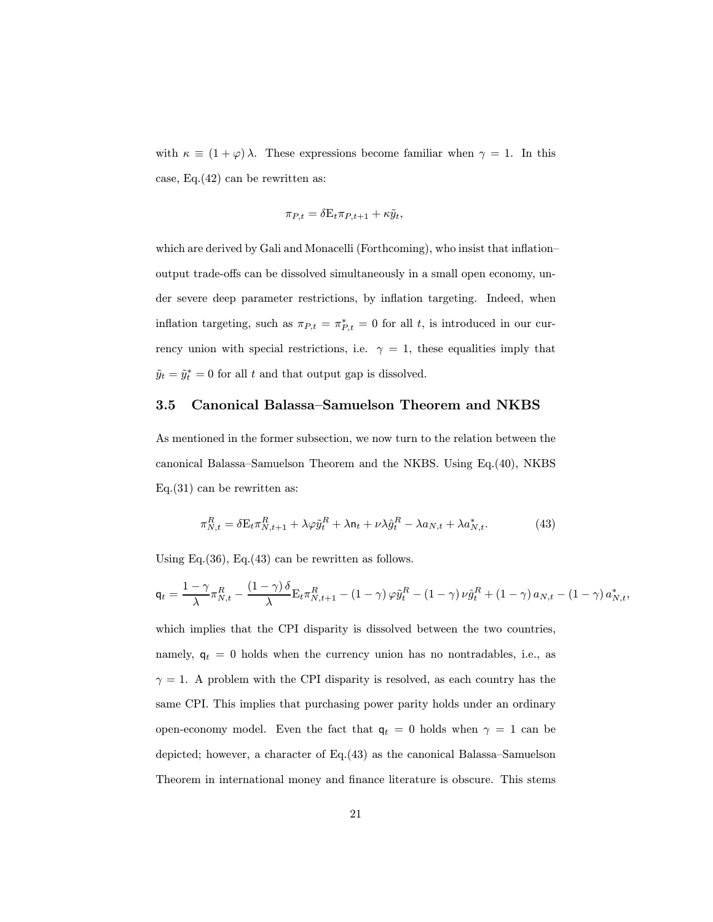with  $\kappa \equiv (1 + \varphi) \lambda$ . These expressions become familiar when  $\gamma = 1$ . In this case, Eq.(42) can be rewritten as:

$$
\pi_{P,t} = \delta \mathbf{E}_t \pi_{P,t+1} + \kappa \tilde{y}_t,
$$

which are derived by Gali and Monacelli (Forthcoming), who insist that inflationoutput trade-offs can be dissolved simultaneously in a small open economy, under severe deep parameter restrictions, by inflation targeting. Indeed, when inflation targeting, such as  $\pi_{P,t} = \pi^*_{P,t} = 0$  for all t, is introduced in our currency union with special restrictions, i.e.  $\gamma = 1$ , these equalities imply that  $\tilde{y}_t = \tilde{y}_t^* = 0$  for all t and that output gap is dissolved.

#### 3.5 Canonical Balassa—Samuelson Theorem and NKBS

As mentioned in the former subsection, we now turn to the relation between the canonical Balassa—Samuelson Theorem and the NKBS. Using Eq.(40), NKBS Eq.(31) can be rewritten as:

$$
\pi_{N,t}^R = \delta \mathbf{E}_t \pi_{N,t+1}^R + \lambda \varphi \tilde{y}_t^R + \lambda \mathbf{n}_t + \nu \lambda \hat{g}_t^R - \lambda a_{N,t} + \lambda a_{N,t}^*.
$$
 (43)

Using Eq.  $(36)$ , Eq.  $(43)$  can be rewritten as follows.

$$
\mathbf{q}_t = \frac{1-\gamma}{\lambda} \pi_{N,t}^R - \frac{(1-\gamma)\delta}{\lambda} \mathbf{E}_t \pi_{N,t+1}^R - (1-\gamma)\varphi \tilde{y}_t^R - (1-\gamma)\nu \hat{g}_t^R + (1-\gamma) a_{N,t} - (1-\gamma) a_{N,t}^*,
$$

which implies that the CPI disparity is dissolved between the two countries, namely,  $q_t = 0$  holds when the currency union has no nontradables, i.e., as  $\gamma = 1$ . A problem with the CPI disparity is resolved, as each country has the same CPI. This implies that purchasing power parity holds under an ordinary open-economy model. Even the fact that  $q_t = 0$  holds when  $\gamma = 1$  can be depicted; however, a character of Eq.(43) as the canonical Balassa—Samuelson Theorem in international money and finance literature is obscure. This stems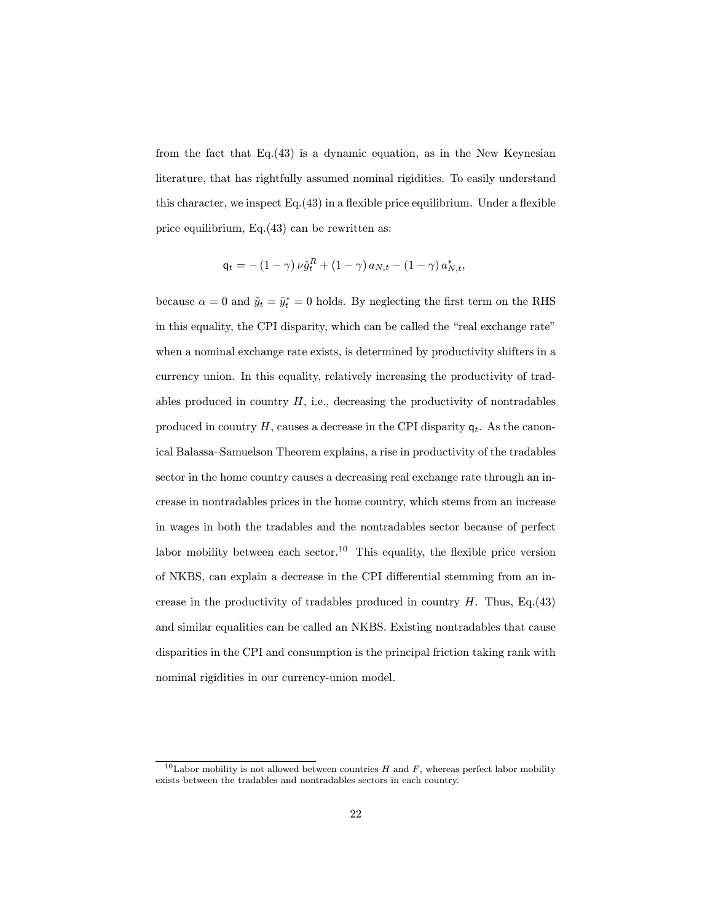from the fact that Eq.(43) is a dynamic equation, as in the New Keynesian literature, that has rightfully assumed nominal rigidities. To easily understand this character, we inspect Eq.(43) in a flexible price equilibrium. Under a flexible price equilibrium, Eq.(43) can be rewritten as:

$$
\mathsf{q}_t = -(1-\gamma) \nu \hat{g}_t^R + (1-\gamma) a_{N,t} - (1-\gamma) a_{N,t}^*,
$$

because  $\alpha = 0$  and  $\tilde{y}_t = \tilde{y}_t^* = 0$  holds. By neglecting the first term on the RHS in this equality, the CPI disparity, which can be called the "real exchange rate" when a nominal exchange rate exists, is determined by productivity shifters in a currency union. In this equality, relatively increasing the productivity of tradables produced in country  $H$ , i.e., decreasing the productivity of nontradables produced in country H, causes a decrease in the CPI disparity  $q_t$ . As the canonical Balassa—Samuelson Theorem explains, a rise in productivity of the tradables sector in the home country causes a decreasing real exchange rate through an increase in nontradables prices in the home country, which stems from an increase in wages in both the tradables and the nontradables sector because of perfect labor mobility between each sector.<sup>10</sup> This equality, the flexible price version of NKBS, can explain a decrease in the CPI differential stemming from an increase in the productivity of tradables produced in country  $H$ . Thus, Eq.(43) and similar equalities can be called an NKBS. Existing nontradables that cause disparities in the CPI and consumption is the principal friction taking rank with nominal rigidities in our currency-union model.

<sup>&</sup>lt;sup>10</sup>Labor mobility is not allowed between countries  $H$  and  $F$ , whereas perfect labor mobility exists between the tradables and nontradables sectors in each country.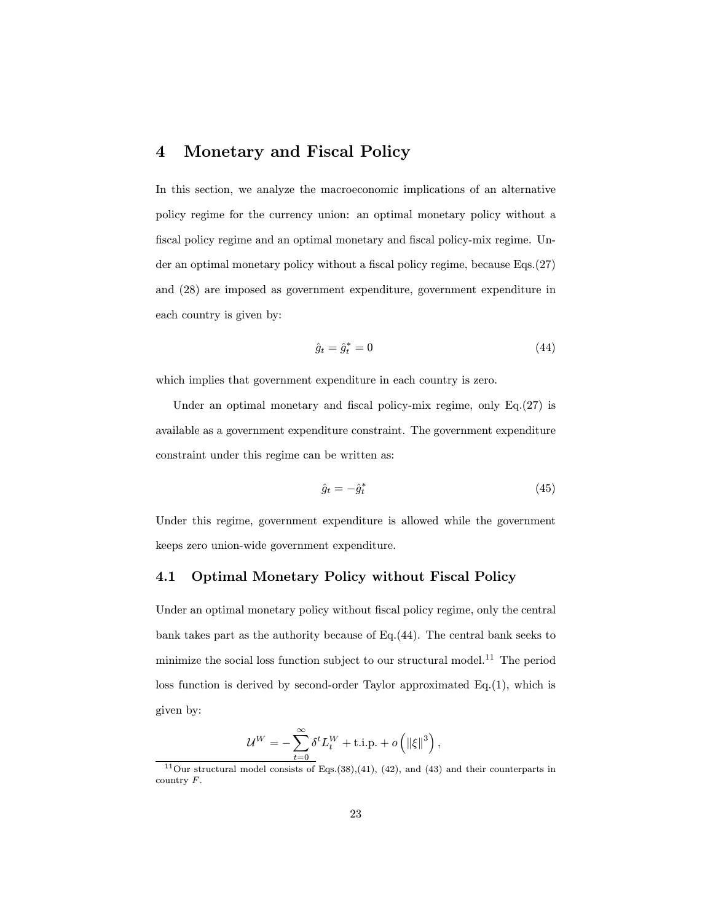### 4 Monetary and Fiscal Policy

In this section, we analyze the macroeconomic implications of an alternative policy regime for the currency union: an optimal monetary policy without a fiscal policy regime and an optimal monetary and fiscal policy-mix regime. Under an optimal monetary policy without a fiscal policy regime, because Eqs.(27) and (28) are imposed as government expenditure, government expenditure in each country is given by:

$$
\hat{g}_t = \hat{g}_t^* = 0 \tag{44}
$$

which implies that government expenditure in each country is zero.

Under an optimal monetary and fiscal policy-mix regime, only Eq.(27) is available as a government expenditure constraint. The government expenditure constraint under this regime can be written as:

$$
\hat{g}_t = -\hat{g}_t^* \tag{45}
$$

Under this regime, government expenditure is allowed while the government keeps zero union-wide government expenditure.

#### 4.1 Optimal Monetary Policy without Fiscal Policy

Under an optimal monetary policy without fiscal policy regime, only the central bank takes part as the authority because of Eq.(44). The central bank seeks to minimize the social loss function subject to our structural model.<sup>11</sup> The period loss function is derived by second-order Taylor approximated Eq.(1), which is given by:

$$
\mathcal{U}^W = -\sum_{t=0}^{\infty} \delta^t L_t^W + \text{t.i.p.} + o\left(\left\|\xi\right\|^3\right),
$$

<sup>&</sup>lt;sup>11</sup>Our structural model consists of Eqs.(38),(41), (42), and (43) and their counterparts in country F.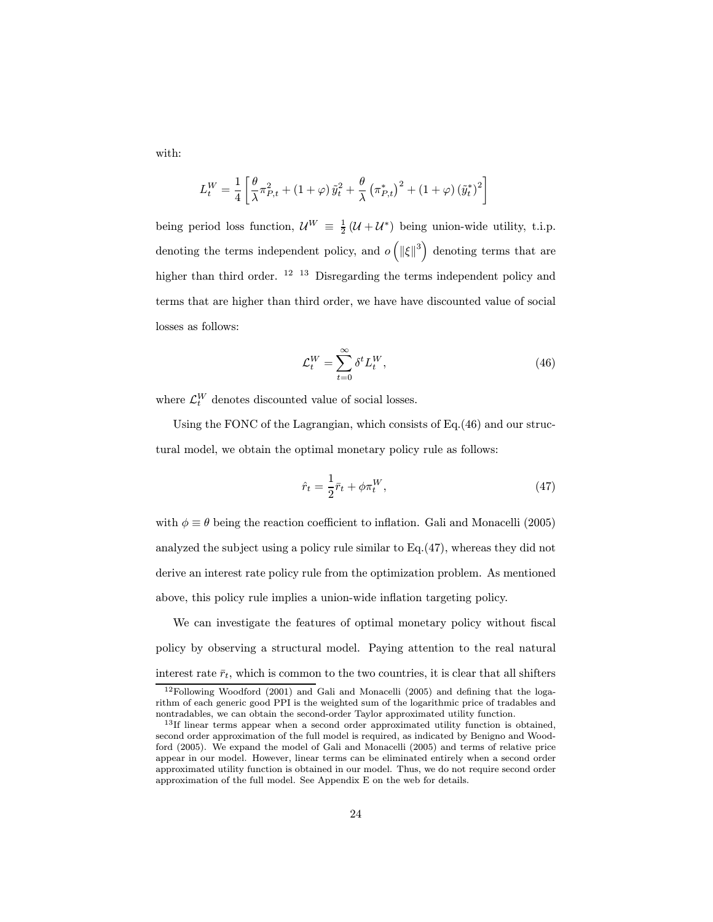with:

$$
L_t^W = \frac{1}{4} \left[ \frac{\theta}{\lambda} \pi_{P,t}^2 + (1+\varphi) \tilde{y}_t^2 + \frac{\theta}{\lambda} \left( \pi_{P,t}^* \right)^2 + (1+\varphi) \left( \tilde{y}_t^* \right)^2 \right]
$$

being period loss function,  $\mathcal{U}^W \equiv \frac{1}{2}(\mathcal{U} + \mathcal{U}^*)$  being union-wide utility, t.i.p. denoting the terms independent policy, and  $o\left(\left\|\xi\right\|^3\right)$  denoting terms that are higher than third order. <sup>12 13</sup> Disregarding the terms independent policy and terms that are higher than third order, we have have discounted value of social losses as follows:

$$
\mathcal{L}_t^W = \sum_{t=0}^{\infty} \delta^t L_t^W,\tag{46}
$$

where  $\mathcal{L}_t^W$  denotes discounted value of social losses.

Using the FONC of the Lagrangian, which consists of Eq.(46) and our structural model, we obtain the optimal monetary policy rule as follows:

$$
\hat{r}_t = \frac{1}{2}\bar{r}_t + \phi \pi_t^W,\tag{47}
$$

with  $\phi \equiv \theta$  being the reaction coefficient to inflation. Gali and Monacelli (2005) analyzed the subject using a policy rule similar to Eq.(47), whereas they did not derive an interest rate policy rule from the optimization problem. As mentioned above, this policy rule implies a union-wide inflation targeting policy.

We can investigate the features of optimal monetary policy without fiscal policy by observing a structural model. Paying attention to the real natural interest rate  $\bar{r}_t$ , which is common to the two countries, it is clear that all shifters

<sup>12</sup>Following Woodford (2001) and Gali and Monacelli (2005) and defining that the logarithm of each generic good PPI is the weighted sum of the logarithmic price of tradables and nontradables, we can obtain the second-order Taylor approximated utility function.

 $13$ If linear terms appear when a second order approximated utility function is obtained, second order approximation of the full model is required, as indicated by Benigno and Woodford (2005). We expand the model of Gali and Monacelli (2005) and terms of relative price appear in our model. However, linear terms can be eliminated entirely when a second order approximated utility function is obtained in our model. Thus, we do not require second order approximation of the full model. See Appendix E on the web for details.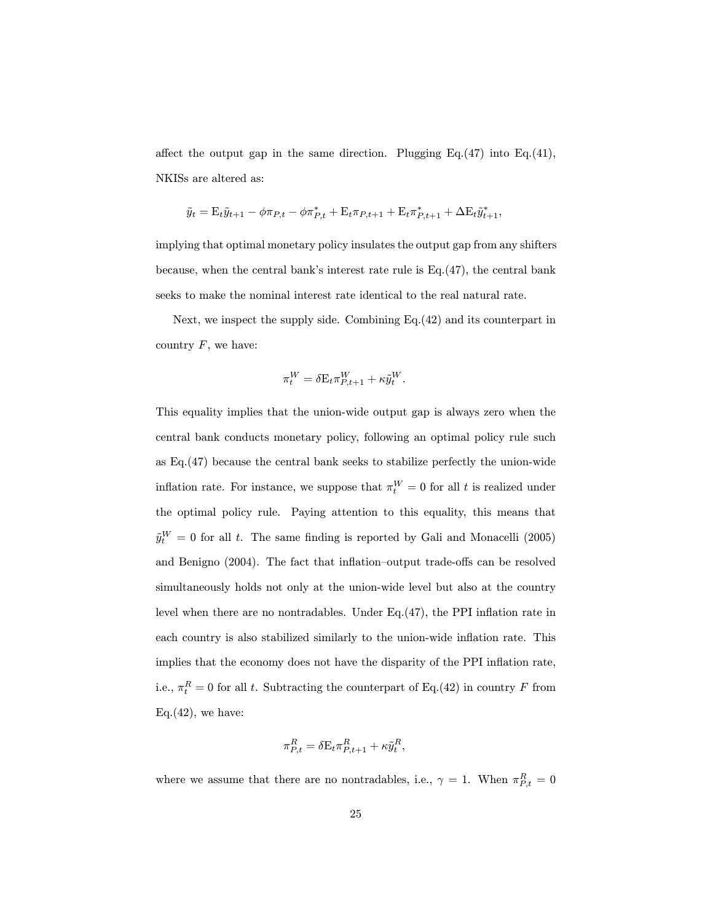affect the output gap in the same direction. Plugging  $Eq.(47)$  into  $Eq.(41)$ , NKISs are altered as:

$$
\tilde{y}_t = \mathbf{E}_t \tilde{y}_{t+1} - \phi \pi_{P,t} - \phi \pi_{P,t}^* + \mathbf{E}_t \pi_{P,t+1} + \mathbf{E}_t \pi_{P,t+1}^* + \Delta \mathbf{E}_t \tilde{y}_{t+1}^*,
$$

implying that optimal monetary policy insulates the output gap from any shifters because, when the central bank's interest rate rule is Eq.(47), the central bank seeks to make the nominal interest rate identical to the real natural rate.

Next, we inspect the supply side. Combining Eq.(42) and its counterpart in country  $F$ , we have:

$$
\pi^W_t = \delta \mathbf{E}_t \pi^W_{P,t+1} + \kappa \tilde{y}^W_t.
$$

This equality implies that the union-wide output gap is always zero when the central bank conducts monetary policy, following an optimal policy rule such as Eq.(47) because the central bank seeks to stabilize perfectly the union-wide inflation rate. For instance, we suppose that  $\pi_t^W = 0$  for all t is realized under the optimal policy rule. Paying attention to this equality, this means that  $\tilde{y}^{W}_{t} = 0$  for all t. The same finding is reported by Gali and Monacelli (2005) and Benigno (2004). The fact that inflation—output trade-offs can be resolved simultaneously holds not only at the union-wide level but also at the country level when there are no nontradables. Under Eq.(47), the PPI inflation rate in each country is also stabilized similarly to the union-wide inflation rate. This implies that the economy does not have the disparity of the PPI inflation rate, i.e.,  $\pi_t^R = 0$  for all t. Subtracting the counterpart of Eq.(42) in country F from Eq. $(42)$ , we have:

$$
\pi_{P,t}^R = \delta \mathbf{E}_t \pi_{P,t+1}^R + \kappa \tilde{y}_t^R,
$$

where we assume that there are no nontradables, i.e.,  $\gamma = 1$ . When  $\pi_{P,t}^R = 0$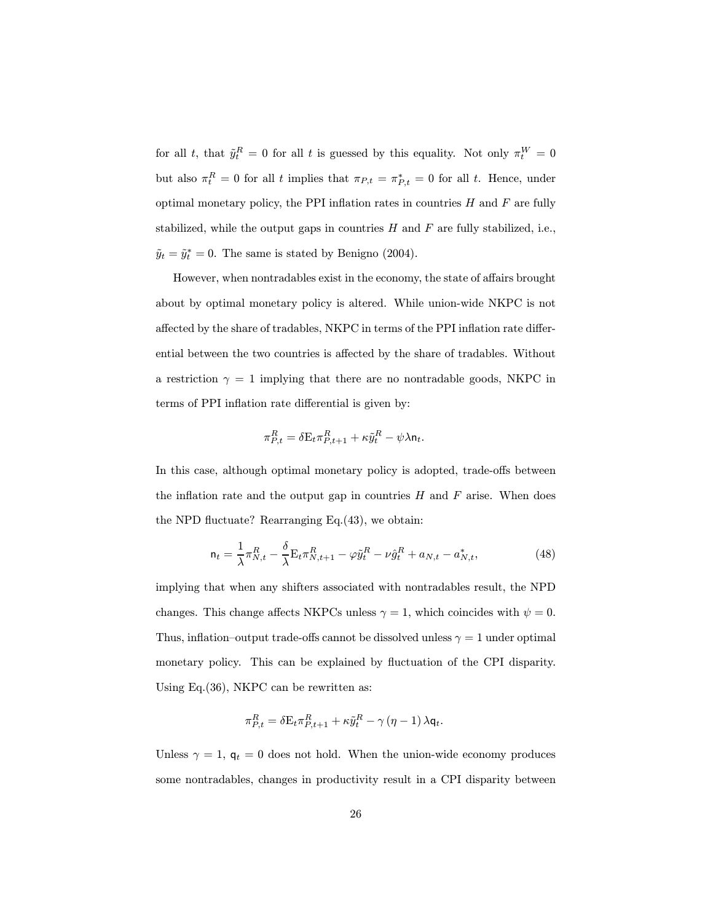for all t, that  $\tilde{y}_t^R = 0$  for all t is guessed by this equality. Not only  $\pi_t^W = 0$ but also  $\pi_t^R = 0$  for all t implies that  $\pi_{P,t} = \pi_{P,t}^* = 0$  for all t. Hence, under optimal monetary policy, the PPI inflation rates in countries  $H$  and  $F$  are fully stabilized, while the output gaps in countries  $H$  and  $F$  are fully stabilized, i.e.,  $\tilde{y}_t = \tilde{y}_t^* = 0$ . The same is stated by Benigno (2004).

However, when nontradables exist in the economy, the state of affairs brought about by optimal monetary policy is altered. While union-wide NKPC is not affected by the share of tradables, NKPC in terms of the PPI inflation rate differential between the two countries is affected by the share of tradables. Without a restriction  $\gamma = 1$  implying that there are no nontradable goods, NKPC in terms of PPI inflation rate differential is given by:

$$
\pi_{P,t}^R = \delta \mathbf{E}_t \pi_{P,t+1}^R + \kappa \tilde{y}_t^R - \psi \lambda \mathbf{n}_t.
$$

In this case, although optimal monetary policy is adopted, trade-offs between the inflation rate and the output gap in countries  $H$  and  $F$  arise. When does the NPD fluctuate? Rearranging Eq.(43), we obtain:

$$
\mathbf{n}_t = \frac{1}{\lambda} \pi_{N,t}^R - \frac{\delta}{\lambda} \mathbf{E}_t \pi_{N,t+1}^R - \varphi \tilde{y}_t^R - \nu \hat{g}_t^R + a_{N,t} - a_{N,t}^*,
$$
(48)

implying that when any shifters associated with nontradables result, the NPD changes. This change affects NKPCs unless  $\gamma = 1$ , which coincides with  $\psi = 0$ . Thus, inflation–output trade-offs cannot be dissolved unless  $\gamma = 1$  under optimal monetary policy. This can be explained by fluctuation of the CPI disparity. Using Eq.(36), NKPC can be rewritten as:

$$
\pi_{P,t}^R = \delta \mathbf{E}_t \pi_{P,t+1}^R + \kappa \tilde{y}_t^R - \gamma (\eta - 1) \lambda \mathbf{q}_t.
$$

Unless  $\gamma = 1$ ,  $q_t = 0$  does not hold. When the union-wide economy produces some nontradables, changes in productivity result in a CPI disparity between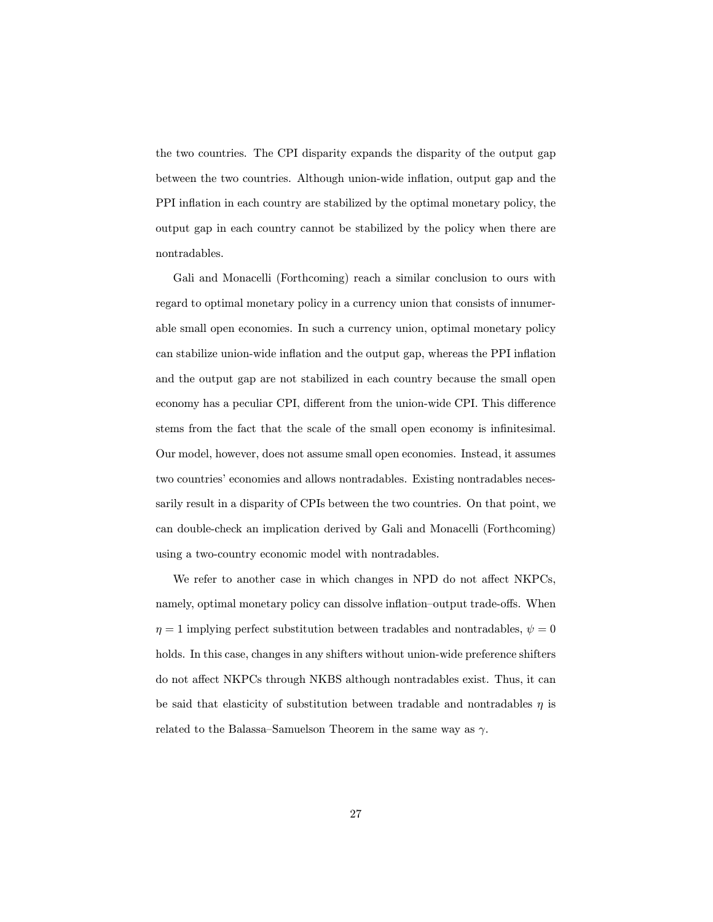the two countries. The CPI disparity expands the disparity of the output gap between the two countries. Although union-wide inflation, output gap and the PPI inflation in each country are stabilized by the optimal monetary policy, the output gap in each country cannot be stabilized by the policy when there are nontradables.

Gali and Monacelli (Forthcoming) reach a similar conclusion to ours with regard to optimal monetary policy in a currency union that consists of innumerable small open economies. In such a currency union, optimal monetary policy can stabilize union-wide inflation and the output gap, whereas the PPI inflation and the output gap are not stabilized in each country because the small open economy has a peculiar CPI, different from the union-wide CPI. This difference stems from the fact that the scale of the small open economy is infinitesimal. Our model, however, does not assume small open economies. Instead, it assumes two countries' economies and allows nontradables. Existing nontradables necessarily result in a disparity of CPIs between the two countries. On that point, we can double-check an implication derived by Gali and Monacelli (Forthcoming) using a two-country economic model with nontradables.

We refer to another case in which changes in NPD do not affect NKPCs, namely, optimal monetary policy can dissolve inflation—output trade-offs. When  $\eta = 1$  implying perfect substitution between tradables and nontradables,  $\psi = 0$ holds. In this case, changes in any shifters without union-wide preference shifters do not affect NKPCs through NKBS although nontradables exist. Thus, it can be said that elasticity of substitution between tradable and nontradables  $\eta$  is related to the Balassa–Samuelson Theorem in the same way as  $\gamma$ .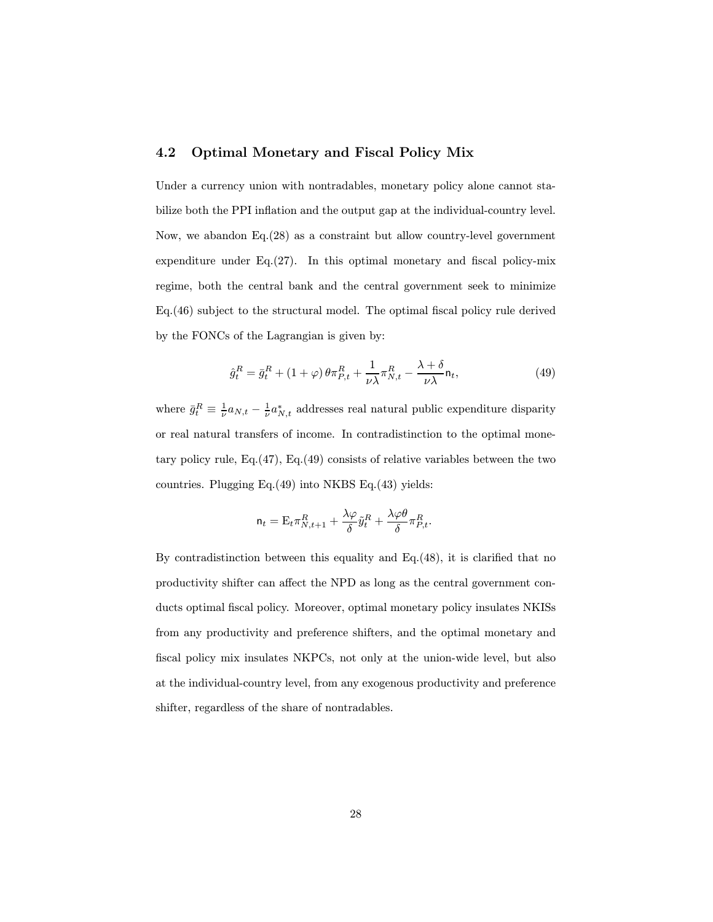#### 4.2 Optimal Monetary and Fiscal Policy Mix

Under a currency union with nontradables, monetary policy alone cannot stabilize both the PPI inflation and the output gap at the individual-country level. Now, we abandon Eq.(28) as a constraint but allow country-level government expenditure under Eq.(27). In this optimal monetary and fiscal policy-mix regime, both the central bank and the central government seek to minimize Eq.(46) subject to the structural model. The optimal fiscal policy rule derived by the FONCs of the Lagrangian is given by:

$$
\hat{g}_t^R = \bar{g}_t^R + (1+\varphi)\theta \pi_{P,t}^R + \frac{1}{\nu\lambda} \pi_{N,t}^R - \frac{\lambda+\delta}{\nu\lambda} \mathsf{n}_t,\tag{49}
$$

where  $\bar{g}_t^R \equiv \frac{1}{\nu} a_{N,t} - \frac{1}{\nu} a_{N,t}^*$  addresses real natural public expenditure disparity or real natural transfers of income. In contradistinction to the optimal monetary policy rule, Eq.(47), Eq.(49) consists of relative variables between the two countries. Plugging Eq.(49) into NKBS Eq.(43) yields:

$$
\mathbf{n}_t = \mathbf{E}_t \pi^R_{N,t+1} + \frac{\lambda \varphi}{\delta} \tilde{y}_t^R + \frac{\lambda \varphi \theta}{\delta} \pi^R_{P,t}.
$$

By contradistinction between this equality and Eq.(48), it is clarified that no productivity shifter can affect the NPD as long as the central government conducts optimal fiscal policy. Moreover, optimal monetary policy insulates NKISs from any productivity and preference shifters, and the optimal monetary and fiscal policy mix insulates NKPCs, not only at the union-wide level, but also at the individual-country level, from any exogenous productivity and preference shifter, regardless of the share of nontradables.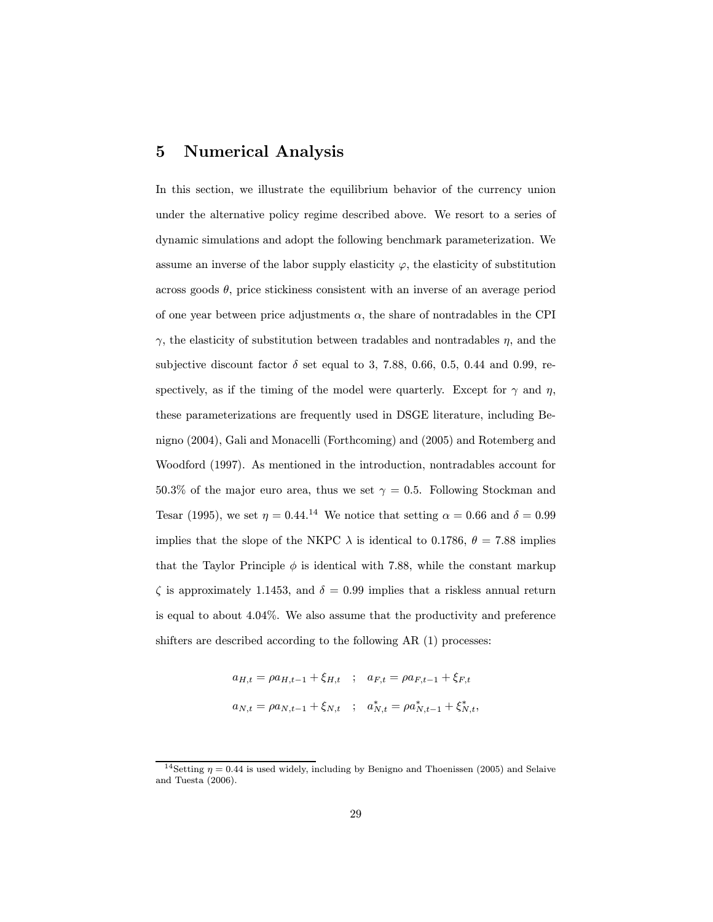### 5 Numerical Analysis

In this section, we illustrate the equilibrium behavior of the currency union under the alternative policy regime described above. We resort to a series of dynamic simulations and adopt the following benchmark parameterization. We assume an inverse of the labor supply elasticity  $\varphi$ , the elasticity of substitution across goods  $\theta$ , price stickiness consistent with an inverse of an average period of one year between price adjustments  $\alpha$ , the share of nontradables in the CPI  $\gamma$ , the elasticity of substitution between tradables and nontradables  $\eta$ , and the subjective discount factor  $\delta$  set equal to 3, 7.88, 0.66, 0.5, 0.44 and 0.99, respectively, as if the timing of the model were quarterly. Except for  $\gamma$  and  $\eta$ , these parameterizations are frequently used in DSGE literature, including Benigno (2004), Gali and Monacelli (Forthcoming) and (2005) and Rotemberg and Woodford (1997). As mentioned in the introduction, nontradables account for 50.3% of the major euro area, thus we set  $\gamma = 0.5$ . Following Stockman and Tesar (1995), we set  $\eta = 0.44$ .<sup>14</sup> We notice that setting  $\alpha = 0.66$  and  $\delta = 0.99$ implies that the slope of the NKPC  $\lambda$  is identical to 0.1786,  $\theta = 7.88$  implies that the Taylor Principle  $\phi$  is identical with 7.88, while the constant markup  $\zeta$  is approximately 1.1453, and  $\delta = 0.99$  implies that a riskless annual return is equal to about 4.04%. We also assume that the productivity and preference shifters are described according to the following AR (1) processes:

$$
a_{H,t} = \rho a_{H,t-1} + \xi_{H,t} \quad ; \quad a_{F,t} = \rho a_{F,t-1} + \xi_{F,t}
$$
  

$$
a_{N,t} = \rho a_{N,t-1} + \xi_{N,t} \quad ; \quad a_{N,t}^* = \rho a_{N,t-1}^* + \xi_{N,t}^*,
$$

<sup>&</sup>lt;sup>14</sup>Setting  $\eta = 0.44$  is used widely, including by Benigno and Thoenissen (2005) and Selaive and Tuesta (2006).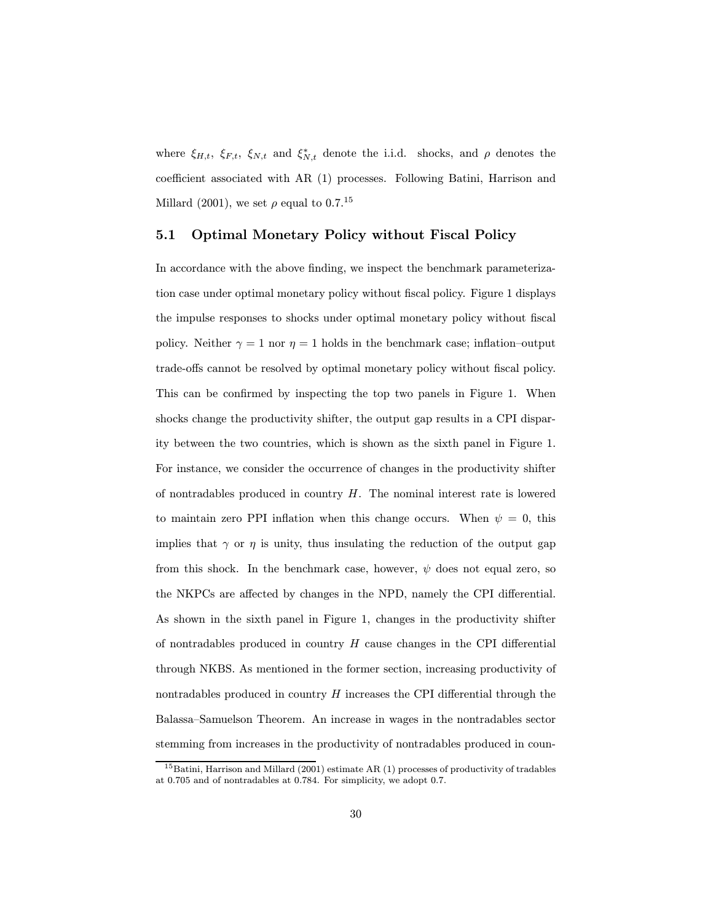where  $\xi_{H,t}$ ,  $\xi_{F,t}$ ,  $\xi_{N,t}$  and  $\xi_{N,t}^*$  denote the i.i.d. shocks, and  $\rho$  denotes the coefficient associated with AR (1) processes. Following Batini, Harrison and Millard (2001), we set  $\rho$  equal to 0.7.<sup>15</sup>

#### 5.1 Optimal Monetary Policy without Fiscal Policy

In accordance with the above finding, we inspect the benchmark parameterization case under optimal monetary policy without fiscal policy. Figure 1 displays the impulse responses to shocks under optimal monetary policy without fiscal policy. Neither  $\gamma = 1$  nor  $\eta = 1$  holds in the benchmark case; inflation-output trade-offs cannot be resolved by optimal monetary policy without fiscal policy. This can be confirmed by inspecting the top two panels in Figure 1. When shocks change the productivity shifter, the output gap results in a CPI disparity between the two countries, which is shown as the sixth panel in Figure 1. For instance, we consider the occurrence of changes in the productivity shifter of nontradables produced in country  $H$ . The nominal interest rate is lowered to maintain zero PPI inflation when this change occurs. When  $\psi = 0$ , this implies that  $\gamma$  or  $\eta$  is unity, thus insulating the reduction of the output gap from this shock. In the benchmark case, however,  $\psi$  does not equal zero, so the NKPCs are affected by changes in the NPD, namely the CPI differential. As shown in the sixth panel in Figure 1, changes in the productivity shifter of nontradables produced in country  $H$  cause changes in the CPI differential through NKBS. As mentioned in the former section, increasing productivity of nontradables produced in country  $H$  increases the CPI differential through the Balassa—Samuelson Theorem. An increase in wages in the nontradables sector stemming from increases in the productivity of nontradables produced in coun-

<sup>&</sup>lt;sup>15</sup>Batini, Harrison and Millard (2001) estimate AR (1) processes of productivity of tradables at 0.705 and of nontradables at 0.784. For simplicity, we adopt 0.7.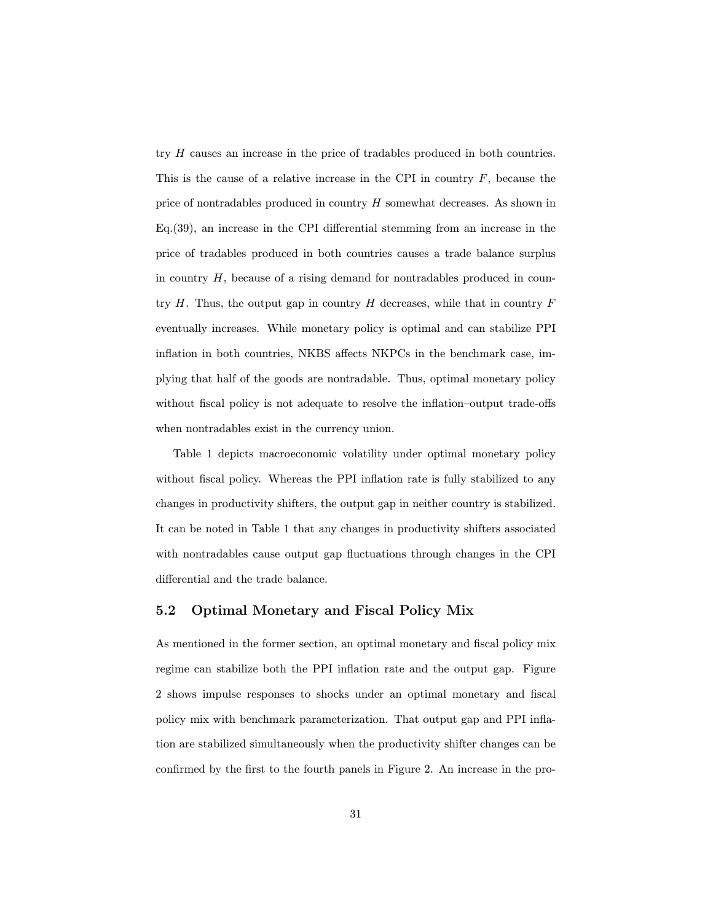try H causes an increase in the price of tradables produced in both countries. This is the cause of a relative increase in the CPI in country  $F$ , because the price of nontradables produced in country H somewhat decreases. As shown in Eq.(39), an increase in the CPI differential stemming from an increase in the price of tradables produced in both countries causes a trade balance surplus in country  $H$ , because of a rising demand for nontradables produced in country  $H$ . Thus, the output gap in country  $H$  decreases, while that in country  $F$ eventually increases. While monetary policy is optimal and can stabilize PPI inflation in both countries, NKBS affects NKPCs in the benchmark case, implying that half of the goods are nontradable. Thus, optimal monetary policy without fiscal policy is not adequate to resolve the inflation—output trade-offs when nontradables exist in the currency union.

Table 1 depicts macroeconomic volatility under optimal monetary policy without fiscal policy. Whereas the PPI inflation rate is fully stabilized to any changes in productivity shifters, the output gap in neither country is stabilized. It can be noted in Table 1 that any changes in productivity shifters associated with nontradables cause output gap fluctuations through changes in the CPI differential and the trade balance.

#### 5.2 Optimal Monetary and Fiscal Policy Mix

As mentioned in the former section, an optimal monetary and fiscal policy mix regime can stabilize both the PPI inflation rate and the output gap. Figure 2 shows impulse responses to shocks under an optimal monetary and fiscal policy mix with benchmark parameterization. That output gap and PPI inflation are stabilized simultaneously when the productivity shifter changes can be confirmed by the first to the fourth panels in Figure 2. An increase in the pro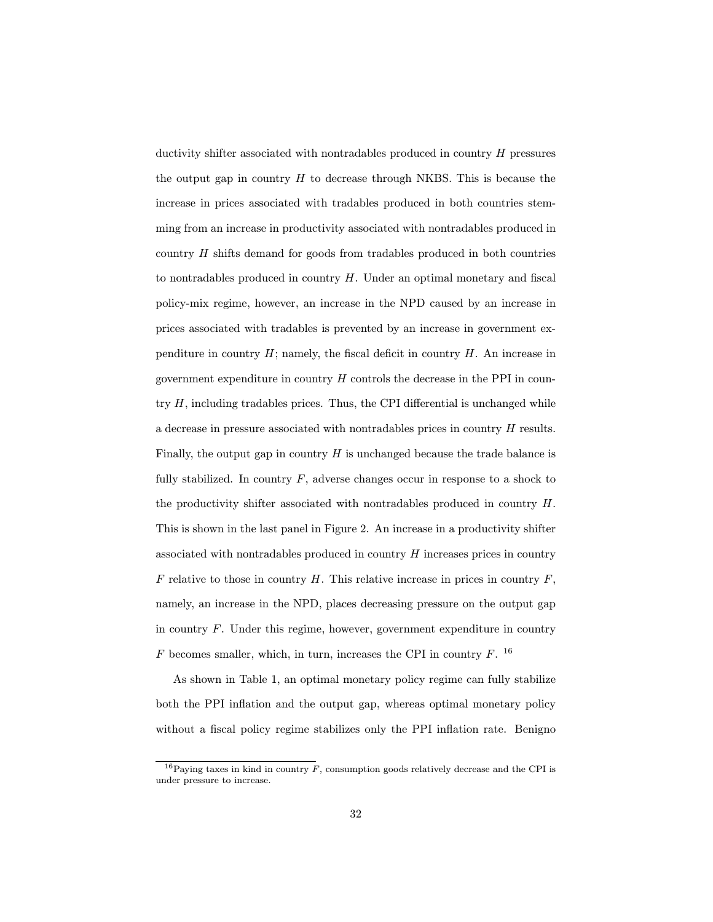ductivity shifter associated with nontradables produced in country H pressures the output gap in country  $H$  to decrease through NKBS. This is because the increase in prices associated with tradables produced in both countries stemming from an increase in productivity associated with nontradables produced in country  $H$  shifts demand for goods from tradables produced in both countries to nontradables produced in country  $H$ . Under an optimal monetary and fiscal policy-mix regime, however, an increase in the NPD caused by an increase in prices associated with tradables is prevented by an increase in government expenditure in country  $H$ ; namely, the fiscal deficit in country  $H$ . An increase in government expenditure in country  $H$  controls the decrease in the PPI in country  $H$ , including tradables prices. Thus, the CPI differential is unchanged while a decrease in pressure associated with nontradables prices in country  $H$  results. Finally, the output gap in country  $H$  is unchanged because the trade balance is fully stabilized. In country  $F$ , adverse changes occur in response to a shock to the productivity shifter associated with nontradables produced in country H. This is shown in the last panel in Figure 2. An increase in a productivity shifter associated with nontradables produced in country  $H$  increases prices in country  $F$  relative to those in country  $H$ . This relative increase in prices in country  $F$ , namely, an increase in the NPD, places decreasing pressure on the output gap in country  $F$ . Under this regime, however, government expenditure in country  $F$  becomes smaller, which, in turn, increases the CPI in country  $F$ . <sup>16</sup>

As shown in Table 1, an optimal monetary policy regime can fully stabilize both the PPI inflation and the output gap, whereas optimal monetary policy without a fiscal policy regime stabilizes only the PPI inflation rate. Benigno

<sup>&</sup>lt;sup>16</sup>Paying taxes in kind in country  $\overline{F}$ , consumption goods relatively decrease and the CPI is under pressure to increase.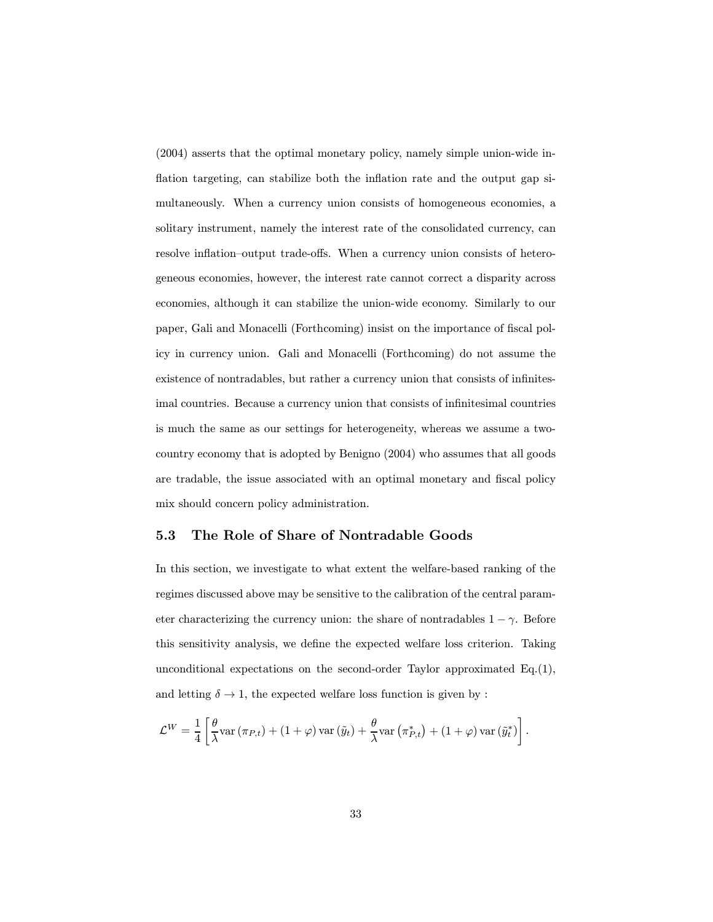(2004) asserts that the optimal monetary policy, namely simple union-wide inflation targeting, can stabilize both the inflation rate and the output gap simultaneously. When a currency union consists of homogeneous economies, a solitary instrument, namely the interest rate of the consolidated currency, can resolve inflation—output trade-offs. When a currency union consists of heterogeneous economies, however, the interest rate cannot correct a disparity across economies, although it can stabilize the union-wide economy. Similarly to our paper, Gali and Monacelli (Forthcoming) insist on the importance of fiscal policy in currency union. Gali and Monacelli (Forthcoming) do not assume the existence of nontradables, but rather a currency union that consists of infinitesimal countries. Because a currency union that consists of infinitesimal countries is much the same as our settings for heterogeneity, whereas we assume a twocountry economy that is adopted by Benigno (2004) who assumes that all goods are tradable, the issue associated with an optimal monetary and fiscal policy mix should concern policy administration.

#### 5.3 The Role of Share of Nontradable Goods

In this section, we investigate to what extent the welfare-based ranking of the regimes discussed above may be sensitive to the calibration of the central parameter characterizing the currency union: the share of nontradables  $1 - \gamma$ . Before this sensitivity analysis, we define the expected welfare loss criterion. Taking unconditional expectations on the second-order Taylor approximated  $Eq.(1)$ , and letting  $\delta \to 1$ , the expected welfare loss function is given by :

$$
\mathcal{L}^{W} = \frac{1}{4} \left[ \frac{\theta}{\lambda} \text{var} \left( \pi_{P,t} \right) + (1 + \varphi) \text{var} \left( \tilde{y}_t \right) + \frac{\theta}{\lambda} \text{var} \left( \pi_{P,t}^{*} \right) + (1 + \varphi) \text{var} \left( \tilde{y}_t^{*} \right) \right].
$$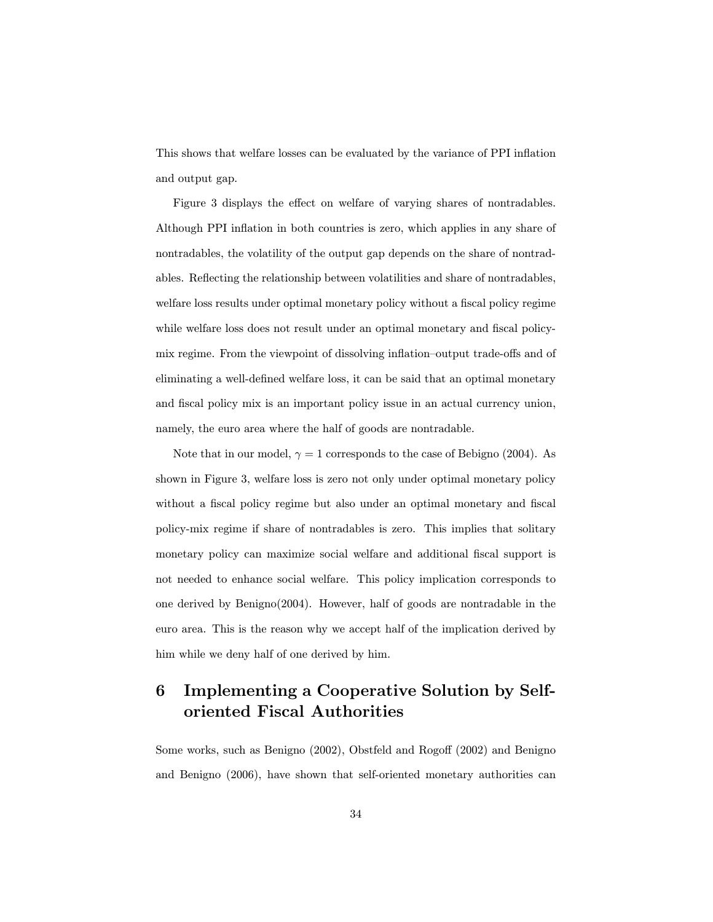This shows that welfare losses can be evaluated by the variance of PPI inflation and output gap.

Figure 3 displays the effect on welfare of varying shares of nontradables. Although PPI inflation in both countries is zero, which applies in any share of nontradables, the volatility of the output gap depends on the share of nontradables. Reflecting the relationship between volatilities and share of nontradables, welfare loss results under optimal monetary policy without a fiscal policy regime while welfare loss does not result under an optimal monetary and fiscal policymix regime. From the viewpoint of dissolving inflation—output trade-offs and of eliminating a well-defined welfare loss, it can be said that an optimal monetary and fiscal policy mix is an important policy issue in an actual currency union, namely, the euro area where the half of goods are nontradable.

Note that in our model,  $\gamma = 1$  corresponds to the case of Bebigno (2004). As shown in Figure 3, welfare loss is zero not only under optimal monetary policy without a fiscal policy regime but also under an optimal monetary and fiscal policy-mix regime if share of nontradables is zero. This implies that solitary monetary policy can maximize social welfare and additional fiscal support is not needed to enhance social welfare. This policy implication corresponds to one derived by Benigno(2004). However, half of goods are nontradable in the euro area. This is the reason why we accept half of the implication derived by him while we deny half of one derived by him.

# 6 Implementing a Cooperative Solution by Selforiented Fiscal Authorities

Some works, such as Benigno (2002), Obstfeld and Rogoff (2002) and Benigno and Benigno (2006), have shown that self-oriented monetary authorities can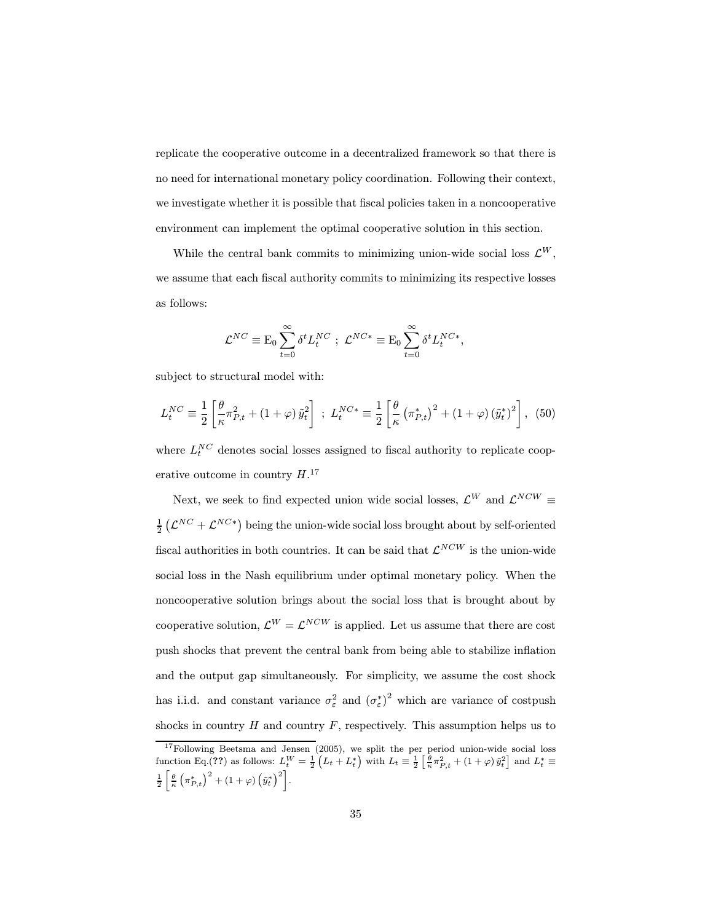replicate the cooperative outcome in a decentralized framework so that there is no need for international monetary policy coordination. Following their context, we investigate whether it is possible that fiscal policies taken in a noncooperative environment can implement the optimal cooperative solution in this section.

While the central bank commits to minimizing union-wide social loss  $\mathcal{L}^W$ , we assume that each fiscal authority commits to minimizing its respective losses as follows:

$$
\mathcal{L}^{NC} \equiv \mathcal{E}_0 \sum_{t=0}^{\infty} \delta^t L_t^{NC} \; ; \; \mathcal{L}^{NC*} \equiv \mathcal{E}_0 \sum_{t=0}^{\infty} \delta^t L_t^{NC*},
$$

subject to structural model with:

$$
L_t^{NC} \equiv \frac{1}{2} \left[ \frac{\theta}{\kappa} \pi_{P,t}^2 + (1+\varphi) \, \tilde{y}_t^2 \right] \; ; \; L_t^{NC*} \equiv \frac{1}{2} \left[ \frac{\theta}{\kappa} \left( \pi_{P,t}^* \right)^2 + (1+\varphi) \left( \tilde{y}_t^* \right)^2 \right], \; (50)
$$

where  $L_t^{NC}$  denotes social losses assigned to fiscal authority to replicate cooperative outcome in country  $H.^{17}$ 

Next, we seek to find expected union wide social losses,  $\mathcal{L}^W$  and  $\mathcal{L}^{NCW}$   $\equiv$  $\frac{1}{2}$   $(\mathcal{L}^{NC} + \mathcal{L}^{NC*})$  being the union-wide social loss brought about by self-oriented fiscal authorities in both countries. It can be said that  $\mathcal{L}^{NCW}$  is the union-wide social loss in the Nash equilibrium under optimal monetary policy. When the noncooperative solution brings about the social loss that is brought about by cooperative solution,  $\mathcal{L}^W = \mathcal{L}^{NCW}$  is applied. Let us assume that there are cost push shocks that prevent the central bank from being able to stabilize inflation and the output gap simultaneously. For simplicity, we assume the cost shock has i.i.d. and constant variance  $\sigma_{\varepsilon}^2$  and  $(\sigma_{\varepsilon}^*)^2$  which are variance of costpush shocks in country  $H$  and country  $F$ , respectively. This assumption helps us to

<sup>&</sup>lt;sup>17</sup>Following Beetsma and Jensen (2005), we split the per period union-wide social loss function Eq.(??) as follows:  $L_t^W = \frac{1}{2} \left( L_t + L_t^* \right)$  with  $L_t \equiv \frac{1}{2} \left[ \frac{\theta}{\kappa} \pi_{P,t}^2 + (1 + \varphi) \tilde{y}_t^2 \right]$  and  $L_t^* \equiv$  $\frac{1}{2} \left[ \frac{\theta}{\kappa} \left( \pi_{P,t}^* \right)^2 + (1+\varphi) \left( \tilde{y}_t^* \right)^2 \right].$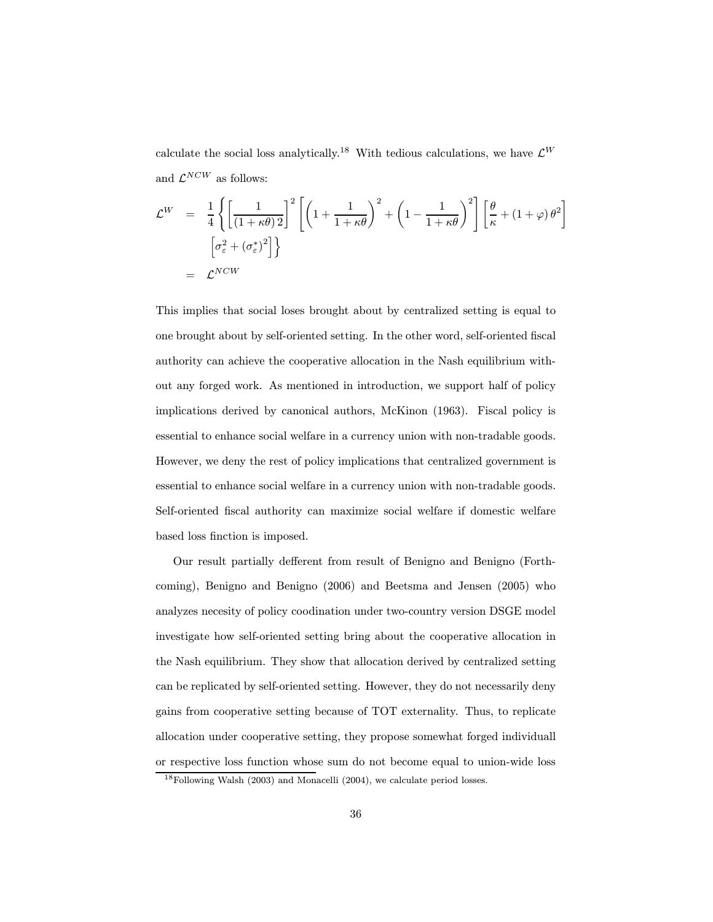calculate the social loss analytically.<sup>18</sup> With tedious calculations, we have  $\mathcal{L}^W$ and  $\mathcal{L}^{NCW}$  as follows:

$$
\mathcal{L}^{W} = \frac{1}{4} \left\{ \left[ \frac{1}{(1 + \kappa \theta)^2} \right]^2 \left[ \left( 1 + \frac{1}{1 + \kappa \theta} \right)^2 + \left( 1 - \frac{1}{1 + \kappa \theta} \right)^2 \right] \left[ \frac{\theta}{\kappa} + (1 + \varphi) \theta^2 \right] \right\}
$$

$$
= \left[ \sigma_{\varepsilon}^2 + (\sigma_{\varepsilon}^*)^2 \right] \right\}
$$

$$
= \mathcal{L}^{NCW}
$$

This implies that social loses brought about by centralized setting is equal to one brought about by self-oriented setting. In the other word, self-oriented fiscal authority can achieve the cooperative allocation in the Nash equilibrium without any forged work. As mentioned in introduction, we support half of policy implications derived by canonical authors, McKinon (1963). Fiscal policy is essential to enhance social welfare in a currency union with non-tradable goods. However, we deny the rest of policy implications that centralized government is essential to enhance social welfare in a currency union with non-tradable goods. Self-oriented fiscal authority can maximize social welfare if domestic welfare based loss finction is imposed.

Our result partially defferent from result of Benigno and Benigno (Forthcoming), Benigno and Benigno (2006) and Beetsma and Jensen (2005) who analyzes necesity of policy coodination under two-country version DSGE model investigate how self-oriented setting bring about the cooperative allocation in the Nash equilibrium. They show that allocation derived by centralized setting can be replicated by self-oriented setting. However, they do not necessarily deny gains from cooperative setting because of TOT externality. Thus, to replicate allocation under cooperative setting, they propose somewhat forged individuall or respective loss function whose sum do not become equal to union-wide loss

<sup>18</sup>Following Walsh (2003) and Monacelli (2004), we calculate period losses.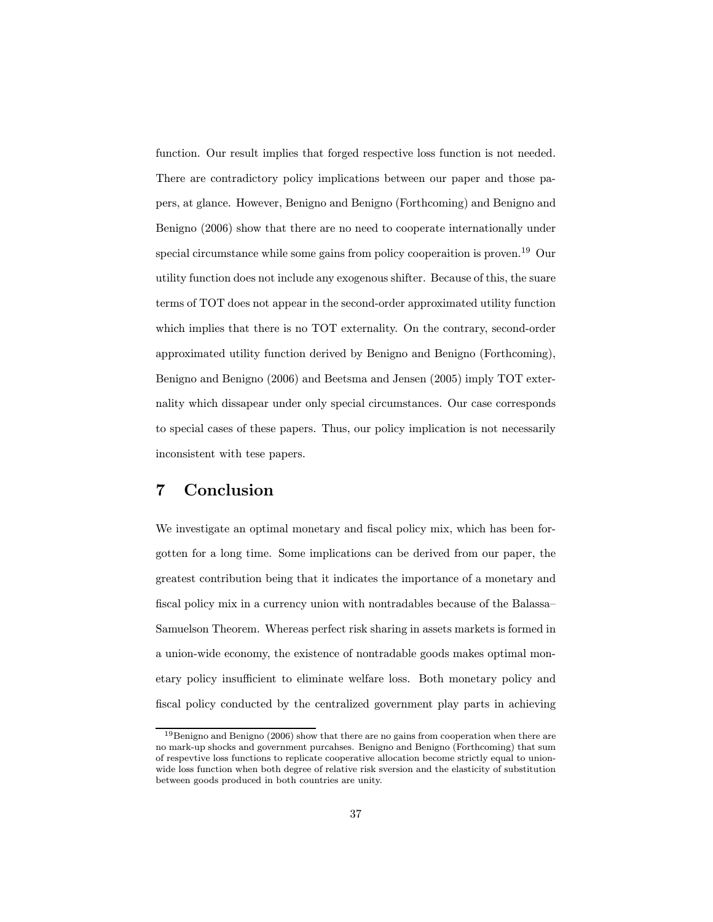function. Our result implies that forged respective loss function is not needed. There are contradictory policy implications between our paper and those papers, at glance. However, Benigno and Benigno (Forthcoming) and Benigno and Benigno (2006) show that there are no need to cooperate internationally under special circumstance while some gains from policy cooperaition is proven.<sup>19</sup> Our utility function does not include any exogenous shifter. Because of this, the suare terms of TOT does not appear in the second-order approximated utility function which implies that there is no TOT externality. On the contrary, second-order approximated utility function derived by Benigno and Benigno (Forthcoming), Benigno and Benigno (2006) and Beetsma and Jensen (2005) imply TOT externality which dissapear under only special circumstances. Our case corresponds to special cases of these papers. Thus, our policy implication is not necessarily inconsistent with tese papers.

### 7 Conclusion

We investigate an optimal monetary and fiscal policy mix, which has been forgotten for a long time. Some implications can be derived from our paper, the greatest contribution being that it indicates the importance of a monetary and fiscal policy mix in a currency union with nontradables because of the Balassa— Samuelson Theorem. Whereas perfect risk sharing in assets markets is formed in a union-wide economy, the existence of nontradable goods makes optimal monetary policy insufficient to eliminate welfare loss. Both monetary policy and fiscal policy conducted by the centralized government play parts in achieving

 $19$ Benigno and Benigno (2006) show that there are no gains from cooperation when there are no mark-up shocks and government purcahses. Benigno and Benigno (Forthcoming) that sum of respevtive loss functions to replicate cooperative allocation become strictly equal to unionwide loss function when both degree of relative risk sversion and the elasticity of substitution between goods produced in both countries are unity.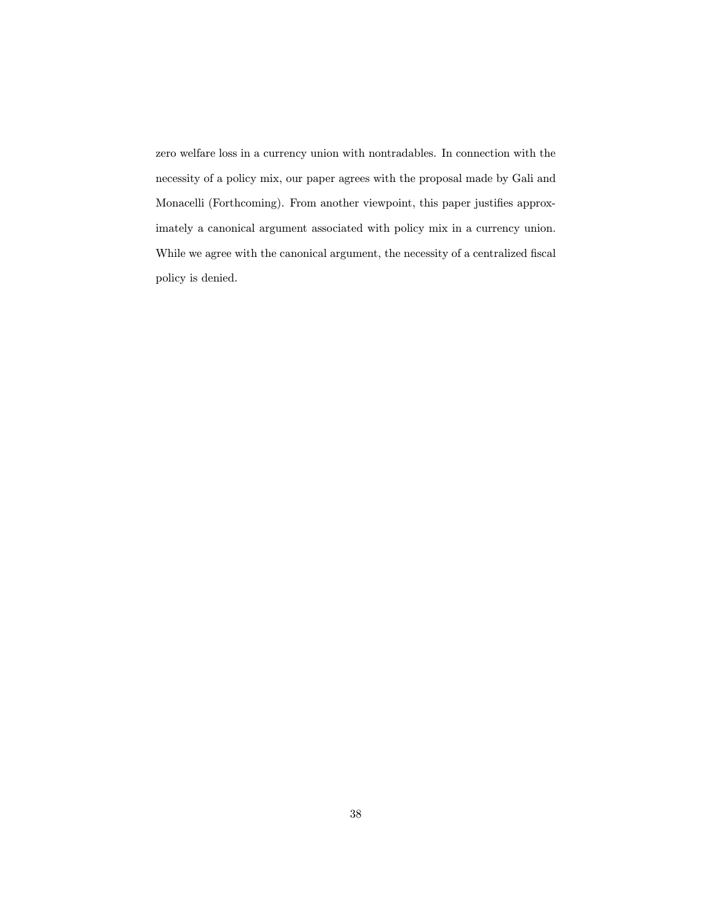zero welfare loss in a currency union with nontradables. In connection with the necessity of a policy mix, our paper agrees with the proposal made by Gali and Monacelli (Forthcoming). From another viewpoint, this paper justifies approximately a canonical argument associated with policy mix in a currency union. While we agree with the canonical argument, the necessity of a centralized fiscal policy is denied.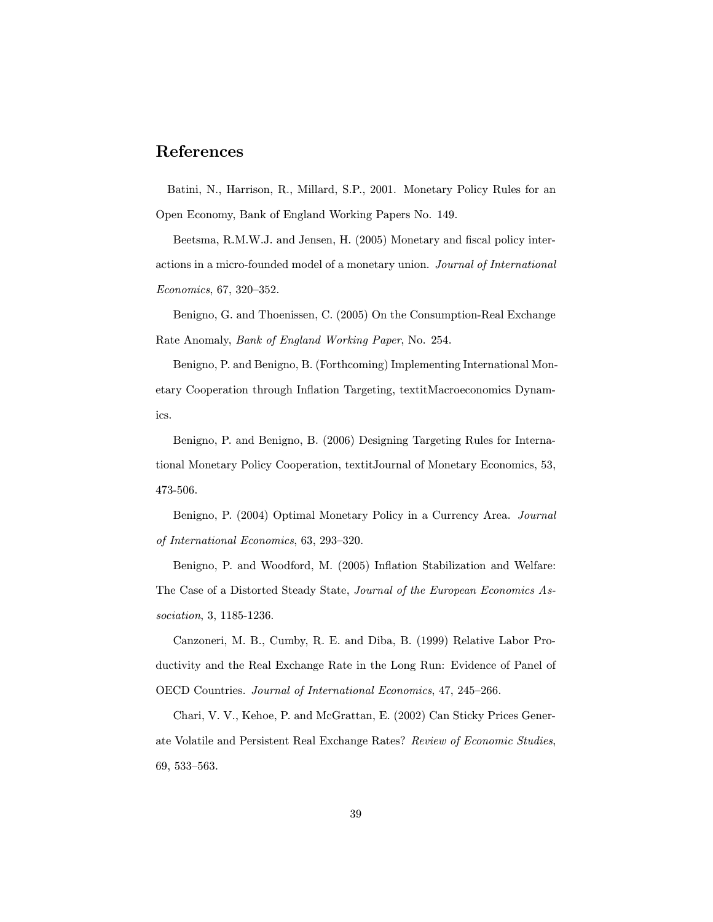# References

Batini, N., Harrison, R., Millard, S.P., 2001. Monetary Policy Rules for an Open Economy, Bank of England Working Papers No. 149.

Beetsma, R.M.W.J. and Jensen, H. (2005) Monetary and fiscal policy interactions in a micro-founded model of a monetary union. Journal of International Economics, 67, 320—352.

Benigno, G. and Thoenissen, C. (2005) On the Consumption-Real Exchange Rate Anomaly, Bank of England Working Paper, No. 254.

Benigno, P. and Benigno, B. (Forthcoming) Implementing International Monetary Cooperation through Inflation Targeting, textitMacroeconomics Dynamics.

Benigno, P. and Benigno, B. (2006) Designing Targeting Rules for International Monetary Policy Cooperation, textitJournal of Monetary Economics, 53, 473-506.

Benigno, P. (2004) Optimal Monetary Policy in a Currency Area. Journal of International Economics, 63, 293—320.

Benigno, P. and Woodford, M. (2005) Inflation Stabilization and Welfare: The Case of a Distorted Steady State, Journal of the European Economics Association, 3, 1185-1236.

Canzoneri, M. B., Cumby, R. E. and Diba, B. (1999) Relative Labor Productivity and the Real Exchange Rate in the Long Run: Evidence of Panel of OECD Countries. Journal of International Economics, 47, 245—266.

Chari, V. V., Kehoe, P. and McGrattan, E. (2002) Can Sticky Prices Generate Volatile and Persistent Real Exchange Rates? Review of Economic Studies, 69, 533—563.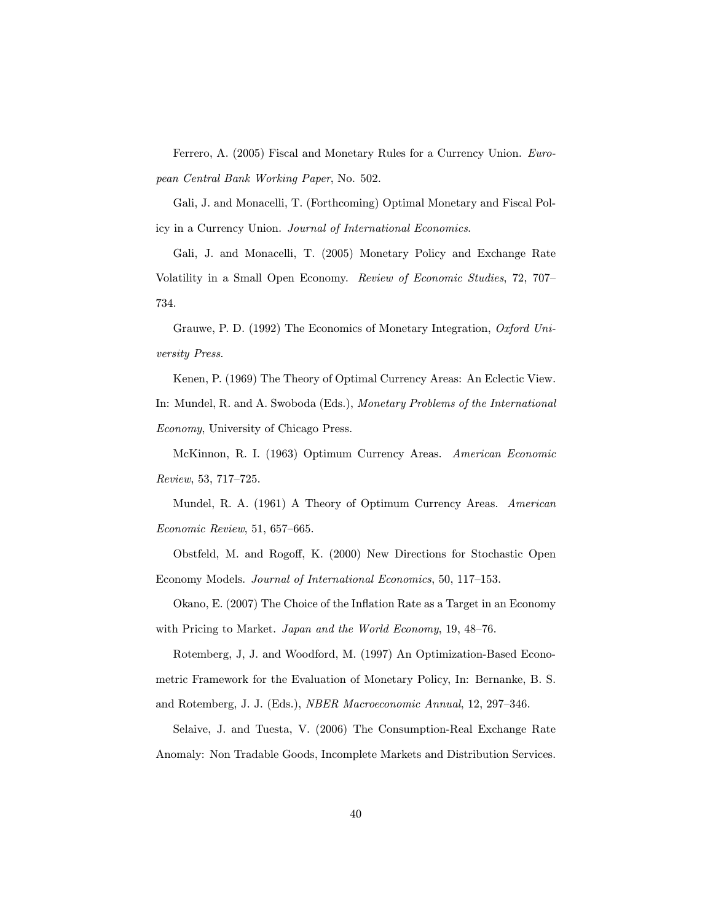Ferrero, A. (2005) Fiscal and Monetary Rules for a Currency Union. European Central Bank Working Paper, No. 502.

Gali, J. and Monacelli, T. (Forthcoming) Optimal Monetary and Fiscal Policy in a Currency Union. Journal of International Economics.

Gali, J. and Monacelli, T. (2005) Monetary Policy and Exchange Rate Volatility in a Small Open Economy. Review of Economic Studies, 72, 707— 734.

Grauwe, P. D. (1992) The Economics of Monetary Integration, Oxford University Press.

Kenen, P. (1969) The Theory of Optimal Currency Areas: An Eclectic View. In: Mundel, R. and A. Swoboda (Eds.), Monetary Problems of the International Economy, University of Chicago Press.

McKinnon, R. I. (1963) Optimum Currency Areas. American Economic Review, 53, 717—725.

Mundel, R. A. (1961) A Theory of Optimum Currency Areas. American Economic Review, 51, 657—665.

Obstfeld, M. and Rogoff, K. (2000) New Directions for Stochastic Open Economy Models. Journal of International Economics, 50, 117—153.

Okano, E. (2007) The Choice of the Inflation Rate as a Target in an Economy with Pricing to Market. Japan and the World Economy, 19, 48–76.

Rotemberg, J, J. and Woodford, M. (1997) An Optimization-Based Econometric Framework for the Evaluation of Monetary Policy, In: Bernanke, B. S. and Rotemberg, J. J. (Eds.), NBER Macroeconomic Annual, 12, 297—346.

Selaive, J. and Tuesta, V. (2006) The Consumption-Real Exchange Rate Anomaly: Non Tradable Goods, Incomplete Markets and Distribution Services.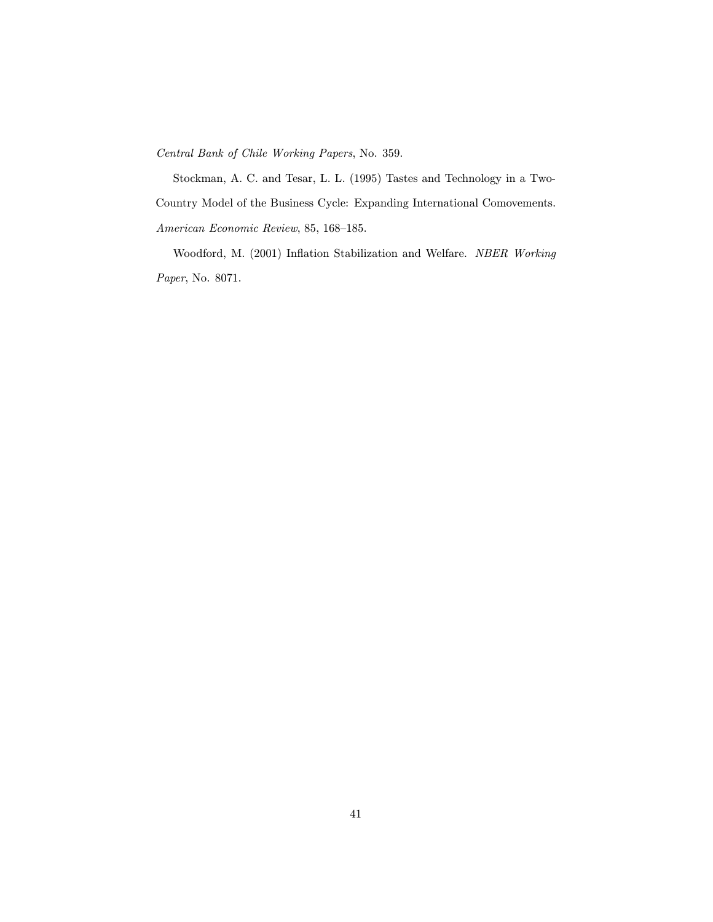Central Bank of Chile Working Papers, No. 359.

Stockman, A. C. and Tesar, L. L. (1995) Tastes and Technology in a Two-Country Model of the Business Cycle: Expanding International Comovements. American Economic Review, 85, 168—185.

Woodford, M. (2001) Inflation Stabilization and Welfare. NBER Working Paper, No. 8071.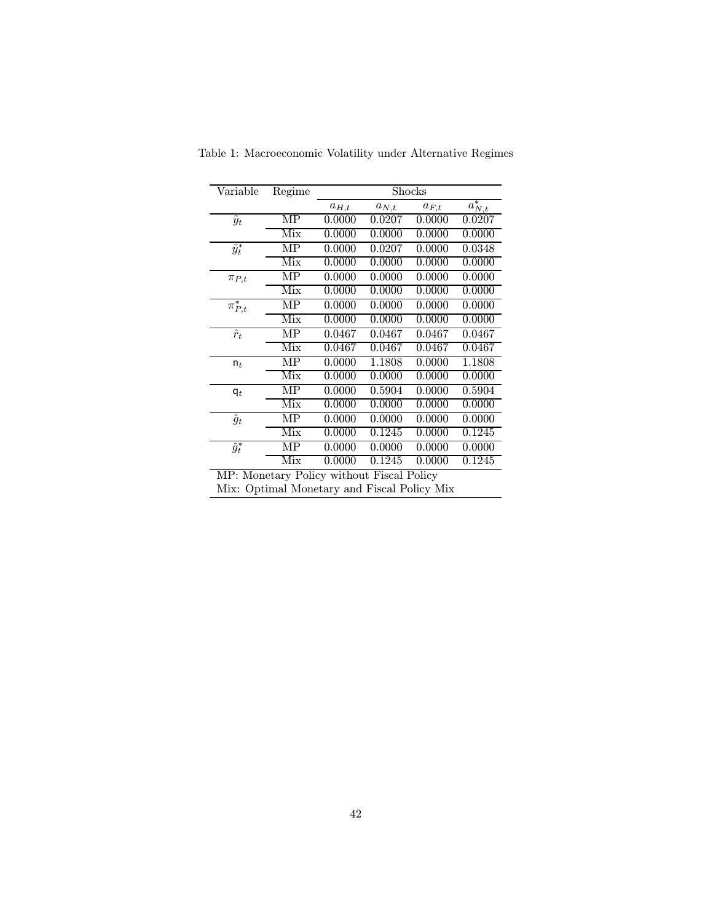| Variable                 | Regime                  | Shocks    |           |           |                        |
|--------------------------|-------------------------|-----------|-----------|-----------|------------------------|
|                          |                         | $a_{H,t}$ | $a_{N,t}$ | $a_{F,t}$ | $\overline{a_{N,t}^*}$ |
| $\overline{\tilde{y}_t}$ | MP                      | 0.0000    | 0.0207    | 0.0000    | 0.0207                 |
|                          | Mix                     | 0.0000    | 0.0000    | 0.0000    | 0.0000                 |
| $\tilde{y}_t^*$          | MP                      | 0.0000    | 0.0207    | 0.0000    | 0.0348                 |
|                          | Mix                     | 0.0000    | 0.0000    | 0.0000    | 0.0000                 |
| $\pi_{P,t}$              | MΡ                      | 0.0000    | 0.0000    | 0.0000    | 0.0000                 |
|                          | $\overline{\text{Mix}}$ | 0.0000    | 0.0000    | 0.0000    | 0.0000                 |
| $\pi^*_{P,t}$            | MP                      | 0.0000    | 0.0000    | 0.0000    | 0.0000                 |
|                          | Mix                     | 0.0000    | 0.0000    | 0.0000    | 0.0000                 |
| $\hat{r}_t$              | MΡ                      | 0.0467    | 0.0467    | 0.0467    | 0.0467                 |
|                          | $\overline{\text{Mix}}$ | 0.0467    | 0.0467    | 0.0467    | 0.0467                 |
| $n_t$                    | MP                      | 0.0000    | 1.1808    | 0.0000    | 1.1808                 |
|                          | Mix                     | 0.0000    | 0.0000    | 0.0000    | 0.0000                 |
| $\mathsf{q}_t$           | MP                      | 0.0000    | 0.5904    | 0.0000    | 0.5904                 |
|                          | Mix                     | 0.0000    | 0.0000    | 0.0000    | 0.0000                 |
| $\hat{g}_t$              | MΡ                      | 0.0000    | 0.0000    | 0.0000    | 0.0000                 |
|                          | Mix                     | 0.0000    | 0.1245    | 0.0000    | 0.1245                 |
| $\overline{\hat{g}^*_t}$ | MΡ                      | 0.0000    | 0.0000    | 0.0000    | 0.0000                 |
|                          | Mix                     | 0.0000    | 0.1245    | 0.0000    | 0.1245                 |

Table 1: Macroeconomic Volatility under Alternative Regimes

MP: Monetary Policy without Fiscal Policy

Mix: Optimal Monetary and Fiscal Policy Mix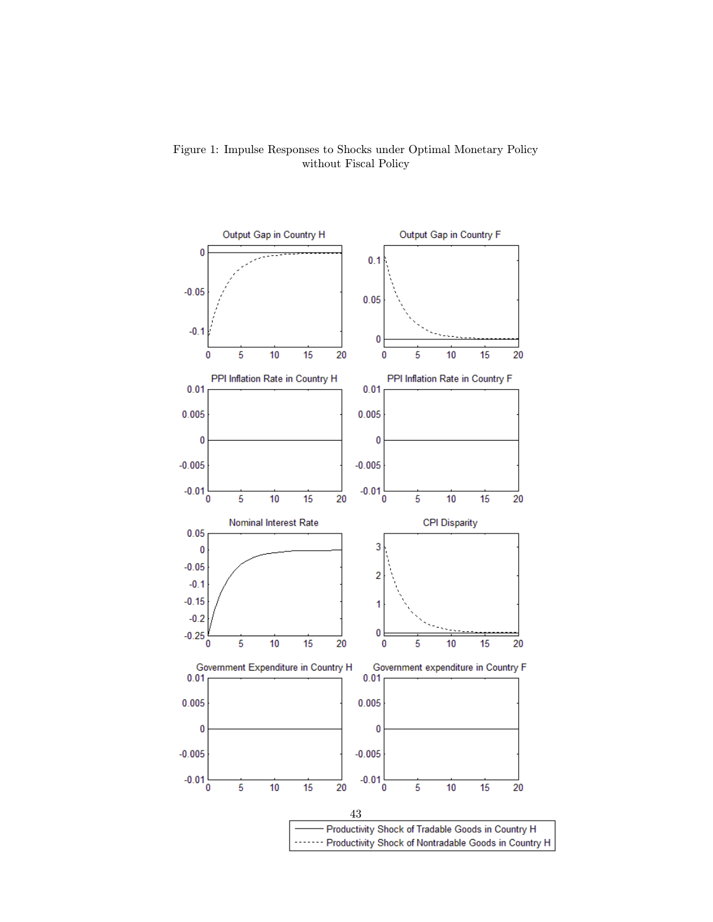

Figure 1: Impulse Responses to Shocks under Optimal Monetary Policy without Fiscal Policy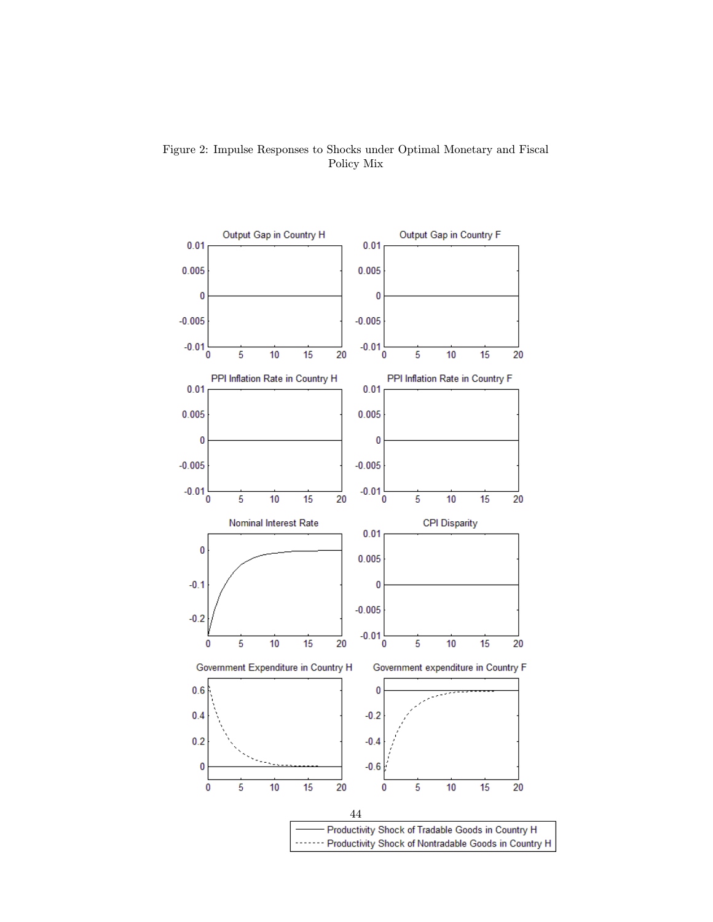